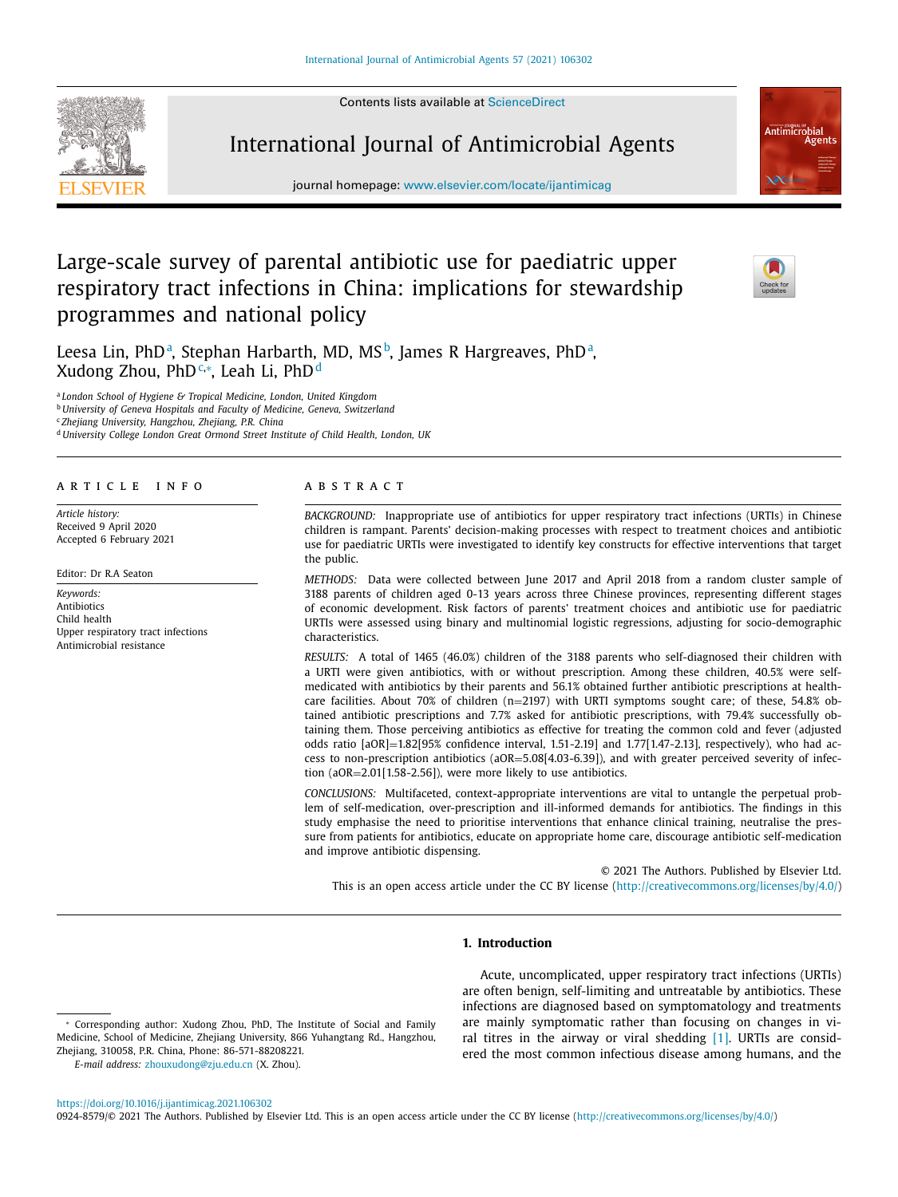Contents lists available at [ScienceDirect](http://www.ScienceDirect.com)



# International Journal of Antimicrobial Agents

journal homepage: [www.elsevier.com/locate/ijantimicag](http://www.elsevier.com/locate/ijantimicag)

# Large-scale survey of parental antibiotic use for paediatric upper respiratory tract infections in China: implications for stewardship programmes and national policy



**Antimicrobial** 

Leesa Lin, PhD<sup>a</sup>, Stephan Harbarth, MD, MS<sup>b</sup>, James R Hargreaves, PhD<sup>a</sup>, Xudong Zhou, PhD∰, Leah Li, PhD<sup>d</sup>

<sup>a</sup> *London School of Hygiene & Tropical Medicine, London, United Kingdom*

<sup>b</sup> *University of Geneva Hospitals and Faculty of Medicine, Geneva, Switzerland*

<sup>c</sup> *Zhejiang University, Hangzhou, Zhejiang, P.R. China*

<sup>d</sup> *University College London Great Ormond Street Institute of Child Health, London, UK*

### a r t i c l e i n f o

*Article history:* Received 9 April 2020 Accepted 6 February 2021

Editor: Dr R.A Seaton

*Keywords:* Antibiotics Child health Upper respiratory tract infections Antimicrobial resistance

#### A B S T R A C T

*BACKGROUND:* Inappropriate use of antibiotics for upper respiratory tract infections (URTIs) in Chinese children is rampant. Parents' decision-making processes with respect to treatment choices and antibiotic use for paediatric URTIs were investigated to identify key constructs for effective interventions that target the public.

*METHODS:* Data were collected between June 2017 and April 2018 from a random cluster sample of 3188 parents of children aged 0-13 years across three Chinese provinces, representing different stages of economic development. Risk factors of parents' treatment choices and antibiotic use for paediatric URTIs were assessed using binary and multinomial logistic regressions, adjusting for socio-demographic characteristics.

*RESULTS:* A total of 1465 (46.0%) children of the 3188 parents who self-diagnosed their children with a URTI were given antibiotics, with or without prescription. Among these children, 40.5% were selfmedicated with antibiotics by their parents and 56.1% obtained further antibiotic prescriptions at healthcare facilities. About 70% of children (n=2197) with URTI symptoms sought care; of these, 54.8% obtained antibiotic prescriptions and 7.7% asked for antibiotic prescriptions, with 79.4% successfully obtaining them. Those perceiving antibiotics as effective for treating the common cold and fever (adjusted odds ratio [aOR]=1.82[95% confidence interval, 1.51-2.19] and 1.77[1.47-2.13], respectively), who had access to non-prescription antibiotics (aOR=5.08[4.03-6.39]), and with greater perceived severity of infection (aOR=2.01[1.58-2.56]), were more likely to use antibiotics.

*CONCLUSIONS:* Multifaceted, context-appropriate interventions are vital to untangle the perpetual problem of self-medication, over-prescription and ill-informed demands for antibiotics. The findings in this study emphasise the need to prioritise interventions that enhance clinical training, neutralise the pressure from patients for antibiotics, educate on appropriate home care, discourage antibiotic self-medication and improve antibiotic dispensing.

© 2021 The Authors. Published by Elsevier Ltd. This is an open access article under the CC BY license [\(http://creativecommons.org/licenses/by/4.0/\)](http://creativecommons.org/licenses/by/4.0/)

# **1. Introduction**

*E-mail address:* [zhouxudong@zju.edu.cn](mailto:zhouxudong@zju.edu.cn) (X. Zhou).

Acute, uncomplicated, upper respiratory tract infections (URTIs) are often benign, self-limiting and untreatable by antibiotics. These infections are diagnosed based on symptomatology and treatments are mainly symptomatic rather than focusing on changes in viral titres in the airway or viral shedding [\[1\].](#page-8-0) URTIs are considered the most common infectious disease among humans, and the

#### <https://doi.org/10.1016/j.ijantimicag.2021.106302>

0924-8579/© 2021 The Authors. Published by Elsevier Ltd. This is an open access article under the CC BY license [\(http://creativecommons.org/licenses/by/4.0/\)](http://creativecommons.org/licenses/by/4.0/)

<sup>∗</sup> Corresponding author: Xudong Zhou, PhD, The Institute of Social and Family Medicine, School of Medicine, Zhejiang University, 866 Yuhangtang Rd., Hangzhou, Zhejiang, 310058, P.R. China, Phone: 86-571-88208221.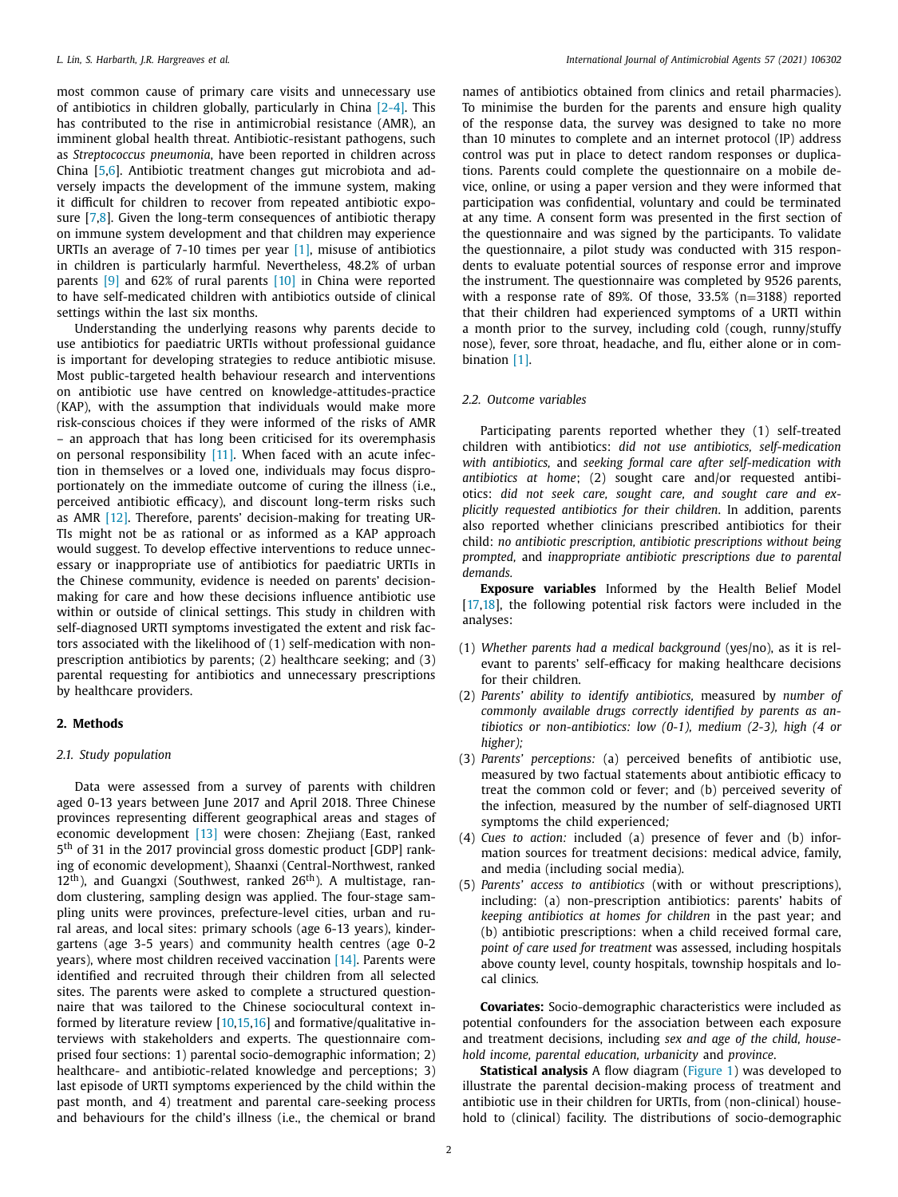most common cause of primary care visits and unnecessary use of antibiotics in children globally, particularly in China [\[2-4\].](#page-8-0) This has contributed to the rise in antimicrobial resistance (AMR), an imminent global health threat. Antibiotic-resistant pathogens, such as *Streptococcus pneumonia*, have been reported in children across China [\[5,6\]](#page-8-0). Antibiotic treatment changes gut microbiota and adversely impacts the development of the immune system, making it difficult for children to recover from repeated antibiotic exposure [\[7,8\]](#page-8-0). Given the long-term consequences of antibiotic therapy on immune system development and that children may experience URTIs an average of 7-10 times per year [\[1\],](#page-8-0) misuse of antibiotics in children is particularly harmful. Nevertheless, 48.2% of urban parents [\[9\]](#page-8-0) and 62% of rural parents [\[10\]](#page-8-0) in China were reported to have self-medicated children with antibiotics outside of clinical settings within the last six months.

Understanding the underlying reasons why parents decide to use antibiotics for paediatric URTIs without professional guidance is important for developing strategies to reduce antibiotic misuse. Most public-targeted health behaviour research and interventions on antibiotic use have centred on knowledge-attitudes-practice (KAP), with the assumption that individuals would make more risk-conscious choices if they were informed of the risks of AMR – an approach that has long been criticised for its overemphasis on personal responsibility [\[11\].](#page-8-0) When faced with an acute infection in themselves or a loved one, individuals may focus disproportionately on the immediate outcome of curing the illness (i.e., perceived antibiotic efficacy), and discount long-term risks such as AMR [\[12\].](#page-8-0) Therefore, parents' decision-making for treating UR-TIs might not be as rational or as informed as a KAP approach would suggest. To develop effective interventions to reduce unnecessary or inappropriate use of antibiotics for paediatric URTIs in the Chinese community, evidence is needed on parents' decisionmaking for care and how these decisions influence antibiotic use within or outside of clinical settings. This study in children with self-diagnosed URTI symptoms investigated the extent and risk factors associated with the likelihood of (1) self-medication with nonprescription antibiotics by parents; (2) healthcare seeking; and (3) parental requesting for antibiotics and unnecessary prescriptions by healthcare providers.

#### **2. Methods**

#### *2.1. Study population*

Data were assessed from a survey of parents with children aged 0-13 years between June 2017 and April 2018. Three Chinese provinces representing different geographical areas and stages of economic development [\[13\]](#page-8-0) were chosen: Zhejiang (East, ranked 5th of 31 in the 2017 provincial gross domestic product [GDP] ranking of economic development), Shaanxi (Central-Northwest, ranked  $12<sup>th</sup>$ ), and Guangxi (Southwest, ranked  $26<sup>th</sup>$ ). A multistage, random clustering, sampling design was applied. The four-stage sampling units were provinces, prefecture-level cities, urban and rural areas, and local sites: primary schools (age 6-13 years), kindergartens (age 3-5 years) and community health centres (age 0-2 years), where most children received vaccination [\[14\].](#page-8-0) Parents were identified and recruited through their children from all selected sites. The parents were asked to complete a structured questionnaire that was tailored to the Chinese sociocultural context informed by literature review [\[10,15,16\]](#page-8-0) and formative/qualitative interviews with stakeholders and experts. The questionnaire comprised four sections: 1) parental socio-demographic information; 2) healthcare- and antibiotic-related knowledge and perceptions; 3) last episode of URTI symptoms experienced by the child within the past month, and 4) treatment and parental care-seeking process and behaviours for the child's illness (i.e., the chemical or brand names of antibiotics obtained from clinics and retail pharmacies). To minimise the burden for the parents and ensure high quality of the response data, the survey was designed to take no more than 10 minutes to complete and an internet protocol (IP) address control was put in place to detect random responses or duplications. Parents could complete the questionnaire on a mobile device, online, or using a paper version and they were informed that participation was confidential, voluntary and could be terminated at any time. A consent form was presented in the first section of the questionnaire and was signed by the participants. To validate the questionnaire, a pilot study was conducted with 315 respondents to evaluate potential sources of response error and improve the instrument. The questionnaire was completed by 9526 parents, with a response rate of 89%. Of those, 33.5% (n=3188) reported that their children had experienced symptoms of a URTI within a month prior to the survey, including cold (cough, runny/stuffy nose), fever, sore throat, headache, and flu, either alone or in combination [\[1\].](#page-8-0)

#### *2.2. Outcome variables*

Participating parents reported whether they (1) self-treated children with antibiotics: *did not use antibiotics, self-medication with antibiotics,* and *seeking formal care after self-medication with antibiotics at home*; (2) sought care and/or requested antibiotics: *did not seek care, sought care, and sought care and explicitly requested antibiotics for their children*. In addition, parents also reported whether clinicians prescribed antibiotics for their child: *no antibiotic prescription, antibiotic prescriptions without being prompted,* and *inappropriate antibiotic prescriptions due to parental demands.*

**Exposure variables** Informed by the Health Belief Model [\[17,18\]](#page-8-0), the following potential risk factors were included in the analyses:

- (1) *Whether parents had a medical background* (yes/no), as it is relevant to parents' self-efficacy for making healthcare decisions for their children.
- (2) *Parents' ability to identify antibiotics,* measured by *number of commonly available drugs correctly identified by parents as antibiotics or non-antibiotics: low (0-1), medium (2-3), high (4 or higher);*
- (3) *Parents' perceptions:* (a) perceived benefits of antibiotic use, measured by two factual statements about antibiotic efficacy to treat the common cold or fever; and (b) perceived severity of the infection*,* measured by the number of self-diagnosed URTI symptoms the child experienced*;*
- (4) *Cues to action:* included (a) presence of fever and (b) information sources for treatment decisions: medical advice, family, and media (including social media).
- (5) *Parents' access to antibiotics* (with or without prescriptions), including: (a) non-prescription antibiotics: parents' habits of *keeping antibiotics at homes for children* in the past year; and (b) antibiotic prescriptions: when a child received formal care, *point of care used for treatment* was assessed*,* including hospitals above county level, county hospitals, township hospitals and local clinics*.*

**Covariates:** Socio-demographic characteristics were included as potential confounders for the association between each exposure and treatment decisions, including *sex and age of the child, household income, parental education, urbanicity* and *province*.

**Statistical analysis** A flow diagram [\(Figure](#page-2-0) 1) was developed to illustrate the parental decision-making process of treatment and antibiotic use in their children for URTIs, from (non-clinical) household to (clinical) facility. The distributions of socio-demographic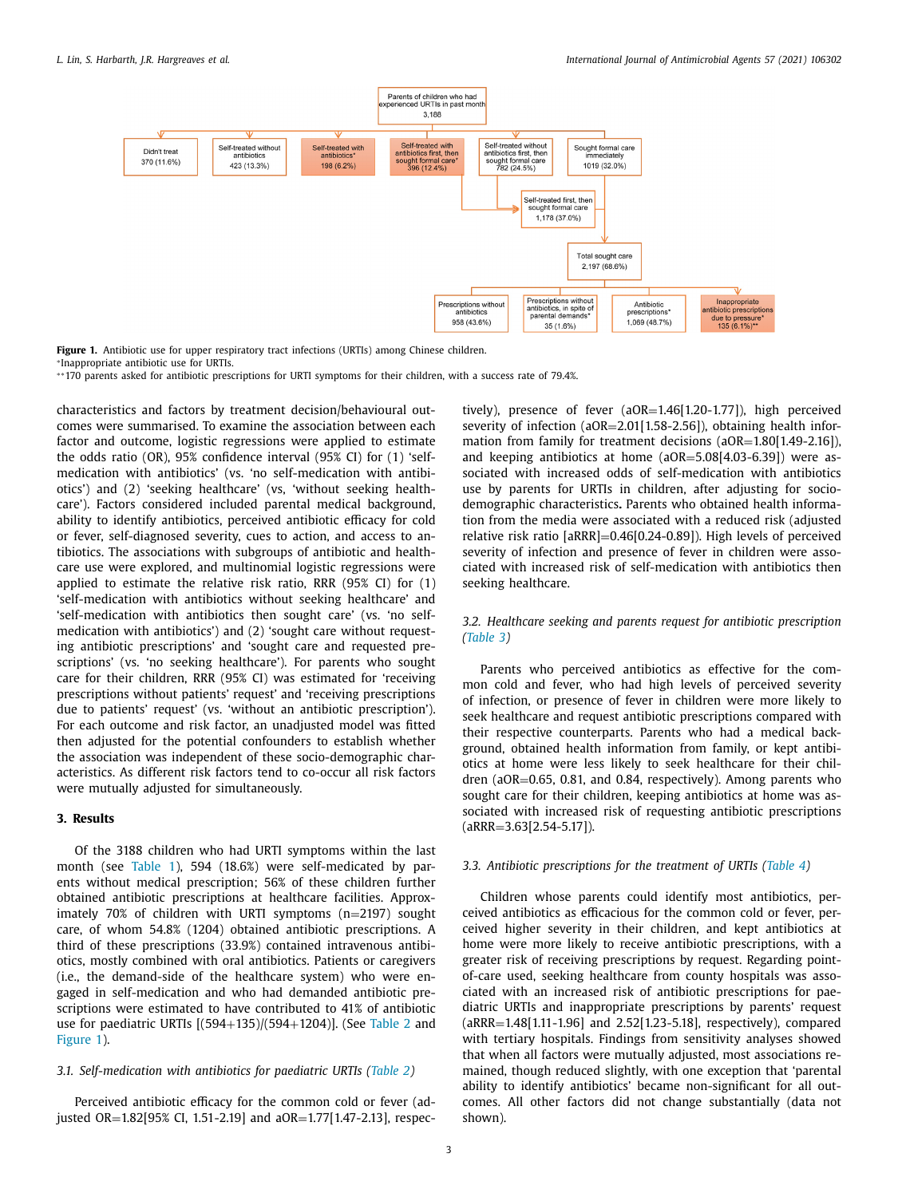<span id="page-2-0"></span>

**Figure 1.** Antibiotic use for upper respiratory tract infections (URTIs) among Chinese children. <sup>∗</sup>Inappropriate antibiotic use for URTIs.

∗ ∗170 parents asked for antibiotic prescriptions for URTI symptoms for their children, with a success rate of 79.4%.

characteristics and factors by treatment decision/behavioural outcomes were summarised. To examine the association between each factor and outcome, logistic regressions were applied to estimate the odds ratio (OR), 95% confidence interval (95% CI) for (1) 'selfmedication with antibiotics' (vs. 'no self-medication with antibiotics') and (2) 'seeking healthcare' (vs, 'without seeking healthcare'). Factors considered included parental medical background, ability to identify antibiotics, perceived antibiotic efficacy for cold or fever, self-diagnosed severity, cues to action, and access to antibiotics. The associations with subgroups of antibiotic and healthcare use were explored, and multinomial logistic regressions were applied to estimate the relative risk ratio, RRR (95% CI) for (1) 'self-medication with antibiotics without seeking healthcare' and 'self-medication with antibiotics then sought care' (vs. 'no selfmedication with antibiotics') and (2) 'sought care without requesting antibiotic prescriptions' and 'sought care and requested prescriptions' (vs. 'no seeking healthcare'). For parents who sought care for their children, RRR (95% CI) was estimated for 'receiving prescriptions without patients' request' and 'receiving prescriptions due to patients' request' (vs. 'without an antibiotic prescription'). For each outcome and risk factor, an unadjusted model was fitted then adjusted for the potential confounders to establish whether the association was independent of these socio-demographic characteristics. As different risk factors tend to co-occur all risk factors were mutually adjusted for simultaneously.

## **3. Results**

Of the 3188 children who had URTI symptoms within the last month (see [Table](#page-3-0) 1), 594 (18.6%) were self-medicated by parents without medical prescription; 56% of these children further obtained antibiotic prescriptions at healthcare facilities. Approximately 70% of children with URTI symptoms (n=2197) sought care, of whom 54.8% (1204) obtained antibiotic prescriptions. A third of these prescriptions (33.9%) contained intravenous antibiotics, mostly combined with oral antibiotics. Patients or caregivers (i.e., the demand-side of the healthcare system) who were engaged in self-medication and who had demanded antibiotic prescriptions were estimated to have contributed to 41% of antibiotic use for paediatric URTIs [(594+135)/(594+1204)]. (See [Table](#page-4-0) 2 and Figure 1).

#### *3.1. Self-medication with antibiotics for paediatric URTIs [\(Table](#page-4-0) 2)*

Perceived antibiotic efficacy for the common cold or fever (adjusted OR=1.82[95% CI, 1.51-2.19] and aOR=1.77[1.47-2.13], respectively), presence of fever (aOR=1.46[1.20-1.77]), high perceived severity of infection (aOR=2.01[1.58-2.56]), obtaining health information from family for treatment decisions (aOR=1.80[1.49-2.16]), and keeping antibiotics at home (aOR=5.08[4.03-6.39]) were associated with increased odds of self-medication with antibiotics use by parents for URTIs in children, after adjusting for sociodemographic characteristics**.** Parents who obtained health information from the media were associated with a reduced risk (adjusted relative risk ratio [aRRR]=0.46[0.24-0.89]). High levels of perceived severity of infection and presence of fever in children were associated with increased risk of self-medication with antibiotics then seeking healthcare.

# *3.2. Healthcare seeking and parents request for antibiotic prescription [\(Table](#page-5-0) 3)*

Parents who perceived antibiotics as effective for the common cold and fever, who had high levels of perceived severity of infection, or presence of fever in children were more likely to seek healthcare and request antibiotic prescriptions compared with their respective counterparts. Parents who had a medical background, obtained health information from family, or kept antibiotics at home were less likely to seek healthcare for their children (aOR=0.65, 0.81, and 0.84, respectively). Among parents who sought care for their children, keeping antibiotics at home was associated with increased risk of requesting antibiotic prescriptions  $(ARRR = 3.63[2.54-5.17]).$ 

# *3.3. Antibiotic prescriptions for the treatment of URTIs [\(Table](#page-6-0) 4)*

Children whose parents could identify most antibiotics, perceived antibiotics as efficacious for the common cold or fever, perceived higher severity in their children, and kept antibiotics at home were more likely to receive antibiotic prescriptions, with a greater risk of receiving prescriptions by request. Regarding pointof-care used, seeking healthcare from county hospitals was associated with an increased risk of antibiotic prescriptions for paediatric URTIs and inappropriate prescriptions by parents' request (aRRR=1.48[1.11-1.96] and 2.52[1.23-5.18], respectively), compared with tertiary hospitals. Findings from sensitivity analyses showed that when all factors were mutually adjusted, most associations remained, though reduced slightly, with one exception that 'parental ability to identify antibiotics' became non-significant for all outcomes. All other factors did not change substantially (data not shown).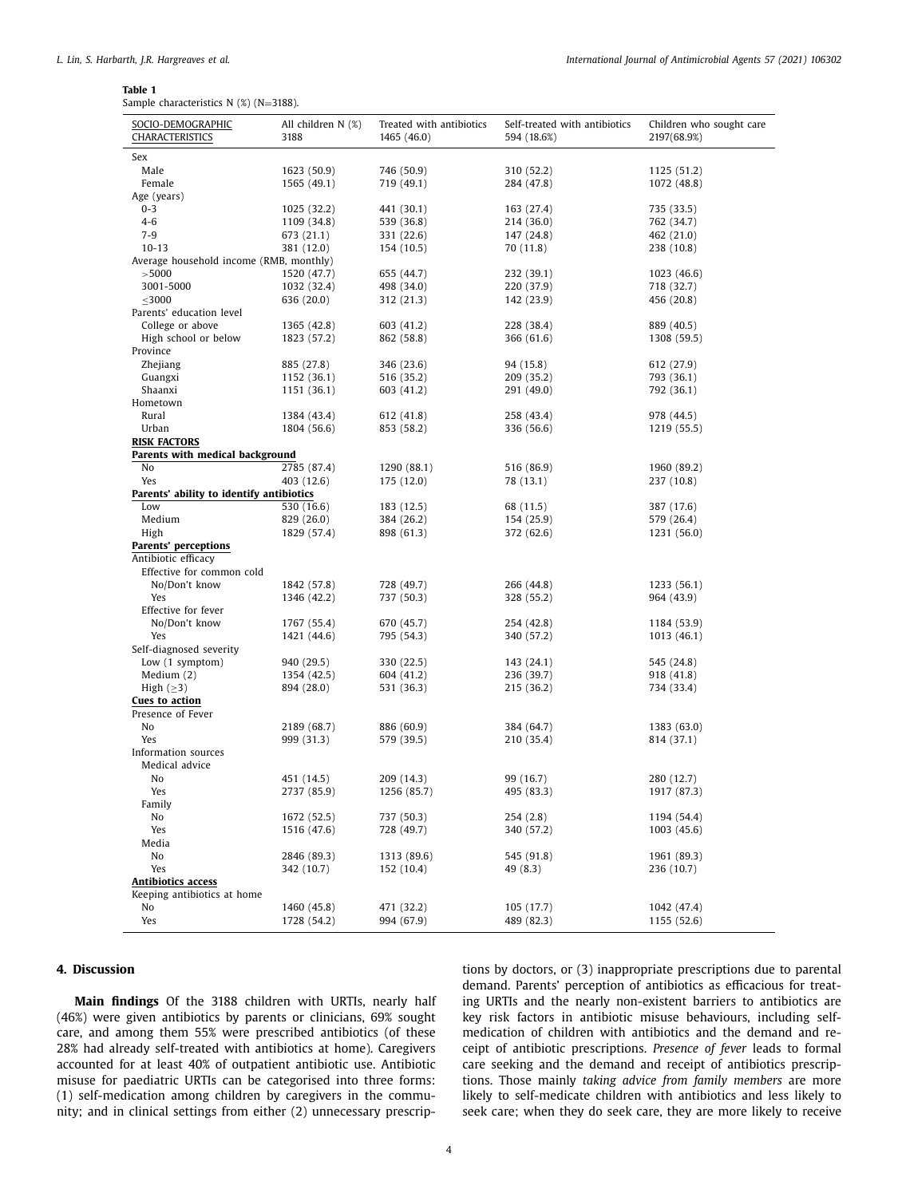#### <span id="page-3-0"></span>**Table 1**

Sample characteristics N (%) (N=3188).

| SOCIO-DEMOGRAPHIC<br>CHARACTERISTICS     | All children N (%)<br>3188 | Treated with antibiotics<br>1465 (46.0) | Self-treated with antibiotics<br>594 (18.6%) | Children who sought care<br>2197(68.9%) |
|------------------------------------------|----------------------------|-----------------------------------------|----------------------------------------------|-----------------------------------------|
| Sex                                      |                            |                                         |                                              |                                         |
| Male                                     | 1623 (50.9)                | 746 (50.9)                              | 310 (52.2)                                   | 1125 (51.2)                             |
| Female                                   | 1565 (49.1)                | 719 (49.1)                              | 284 (47.8)                                   | 1072 (48.8)                             |
| Age (years)                              |                            |                                         |                                              |                                         |
| $0 - 3$                                  | 1025 (32.2)                | 441 (30.1)                              | 163 (27.4)                                   | 735 (33.5)                              |
| $4 - 6$                                  | 1109 (34.8)                | 539 (36.8)                              | 214 (36.0)                                   | 762 (34.7)                              |
| $7-9$                                    | 673 (21.1)                 | 331 (22.6)                              | 147 (24.8)                                   | 462 (21.0)                              |
| $10 - 13$                                | 381 (12.0)                 | 154 (10.5)                              | 70 (11.8)                                    | 238 (10.8)                              |
| Average household income (RMB, monthly)  |                            |                                         |                                              |                                         |
| > 5000                                   | 1520 (47.7)                | 655 (44.7)                              | 232 (39.1)                                   | 1023 (46.6)                             |
| 3001-5000                                | 1032 (32.4)                | 498 (34.0)                              | 220 (37.9)                                   | 718 (32.7)                              |
| $\leq 3000$                              | 636 (20.0)                 | 312 (21.3)                              | 142 (23.9)                                   | 456 (20.8)                              |
| Parents' education level                 |                            |                                         |                                              |                                         |
| College or above                         | 1365 (42.8)                | 603 (41.2)                              | 228 (38.4)                                   | 889 (40.5)                              |
| High school or below                     | 1823 (57.2)                | 862 (58.8)                              | 366 (61.6)                                   | 1308 (59.5)                             |
| Province                                 |                            |                                         |                                              |                                         |
| Zhejiang                                 | 885 (27.8)                 | 346 (23.6)                              | 94 (15.8)                                    | 612 (27.9)                              |
| Guangxi                                  | 1152 (36.1)                | 516 (35.2)                              | 209 (35.2)                                   | 793 (36.1)                              |
| Shaanxi                                  | 1151 (36.1)                | 603 (41.2)                              | 291 (49.0)                                   | 792 (36.1)                              |
| Hometown                                 |                            |                                         |                                              |                                         |
| Rural                                    | 1384 (43.4)                | 612 (41.8)                              | 258 (43.4)                                   | 978 (44.5)                              |
| Urban                                    | 1804 (56.6)                | 853 (58.2)                              | 336 (56.6)                                   | 1219 (55.5)                             |
| <b>RISK FACTORS</b>                      |                            |                                         |                                              |                                         |
| Parents with medical background          |                            |                                         |                                              |                                         |
| No                                       | 2785 (87.4)                | 1290 (88.1)                             | 516 (86.9)                                   | 1960 (89.2)                             |
| Yes                                      | 403 (12.6)                 | 175 (12.0)                              | 78 (13.1)                                    | 237 (10.8)                              |
| Parents' ability to identify antibiotics |                            |                                         |                                              |                                         |
| Low                                      | 530 (16.6)                 | 183 (12.5)                              | 68 (11.5)                                    | 387 (17.6)                              |
| Medium                                   | 829 (26.0)                 | 384 (26.2)                              | 154 (25.9)                                   | 579 (26.4)                              |
| High                                     | 1829 (57.4)                | 898 (61.3)                              | 372 (62.6)                                   | 1231 (56.0)                             |
| Parents' perceptions                     |                            |                                         |                                              |                                         |
| Antibiotic efficacy                      |                            |                                         |                                              |                                         |
| Effective for common cold                |                            |                                         |                                              |                                         |
| No/Don't know                            | 1842 (57.8)                | 728 (49.7)                              | 266 (44.8)                                   | 1233 (56.1)                             |
| Yes                                      | 1346 (42.2)                | 737 (50.3)                              | 328 (55.2)                                   | 964 (43.9)                              |
| Effective for fever                      |                            |                                         |                                              |                                         |
| No/Don't know                            |                            |                                         |                                              |                                         |
| Yes                                      | 1767 (55.4)<br>1421 (44.6) | 670 (45.7)<br>795 (54.3)                | 254 (42.8)<br>340 (57.2)                     | 1184 (53.9)<br>1013 (46.1)              |
|                                          |                            |                                         |                                              |                                         |
| Self-diagnosed severity                  |                            |                                         |                                              |                                         |
| Low (1 symptom)                          | 940 (29.5)                 | 330 (22.5)                              | 143 (24.1)                                   | 545 (24.8)                              |
| Medium $(2)$                             | 1354 (42.5)                | 604 (41.2)                              | 236 (39.7)                                   | 918 (41.8)                              |
| High $(\geq)$                            | 894 (28.0)                 | 531 (36.3)                              | 215 (36.2)                                   | 734 (33.4)                              |
| Cues to action                           |                            |                                         |                                              |                                         |
| Presence of Fever                        |                            |                                         |                                              |                                         |
| No                                       | 2189 (68.7)                | 886 (60.9)                              | 384 (64.7)                                   | 1383 (63.0)                             |
| Yes                                      | 999 (31.3)                 | 579 (39.5)                              | 210 (35.4)                                   | 814 (37.1)                              |
| Information sources                      |                            |                                         |                                              |                                         |
| Medical advice                           |                            |                                         |                                              |                                         |
| No                                       | 451 (14.5)                 | 209 (14.3)                              | 99 (16.7)                                    | 280 (12.7)                              |
| Yes                                      | 2737 (85.9)                | 1256 (85.7)                             | 495 (83.3)                                   | 1917 (87.3)                             |
| Family                                   |                            |                                         |                                              |                                         |
| No                                       | 1672 (52.5)                | 737 (50.3)                              | 254(2.8)                                     | 1194 (54.4)                             |
| Yes                                      | 1516 (47.6)                | 728 (49.7)                              | 340 (57.2)                                   | 1003(45.6)                              |
| Media                                    |                            |                                         |                                              |                                         |
| No                                       | 2846 (89.3)                | 1313 (89.6)                             | 545 (91.8)                                   | 1961 (89.3)                             |
| Yes                                      | 342 (10.7)                 | 152 (10.4)                              | 49 (8.3)                                     | 236 (10.7)                              |
| <b>Antibiotics access</b>                |                            |                                         |                                              |                                         |
| Keeping antibiotics at home              |                            |                                         |                                              |                                         |
| No                                       | 1460 (45.8)                | 471 (32.2)                              | 105 (17.7)                                   | 1042 (47.4)                             |
| Yes                                      | 1728 (54.2)                | 994 (67.9)                              | 489 (82.3)                                   | 1155 (52.6)                             |

# **4. Discussion**

**Main findings** Of the 3188 children with URTIs, nearly half (46%) were given antibiotics by parents or clinicians, 69% sought care, and among them 55% were prescribed antibiotics (of these 28% had already self-treated with antibiotics at home). Caregivers accounted for at least 40% of outpatient antibiotic use. Antibiotic misuse for paediatric URTIs can be categorised into three forms: (1) self-medication among children by caregivers in the community; and in clinical settings from either (2) unnecessary prescriptions by doctors, or (3) inappropriate prescriptions due to parental demand. Parents' perception of antibiotics as efficacious for treating URTIs and the nearly non-existent barriers to antibiotics are key risk factors in antibiotic misuse behaviours, including selfmedication of children with antibiotics and the demand and receipt of antibiotic prescriptions. *Presence of fever* leads to formal care seeking and the demand and receipt of antibiotics prescriptions. Those mainly *taking advice from family members* are more likely to self-medicate children with antibiotics and less likely to seek care; when they do seek care, they are more likely to receive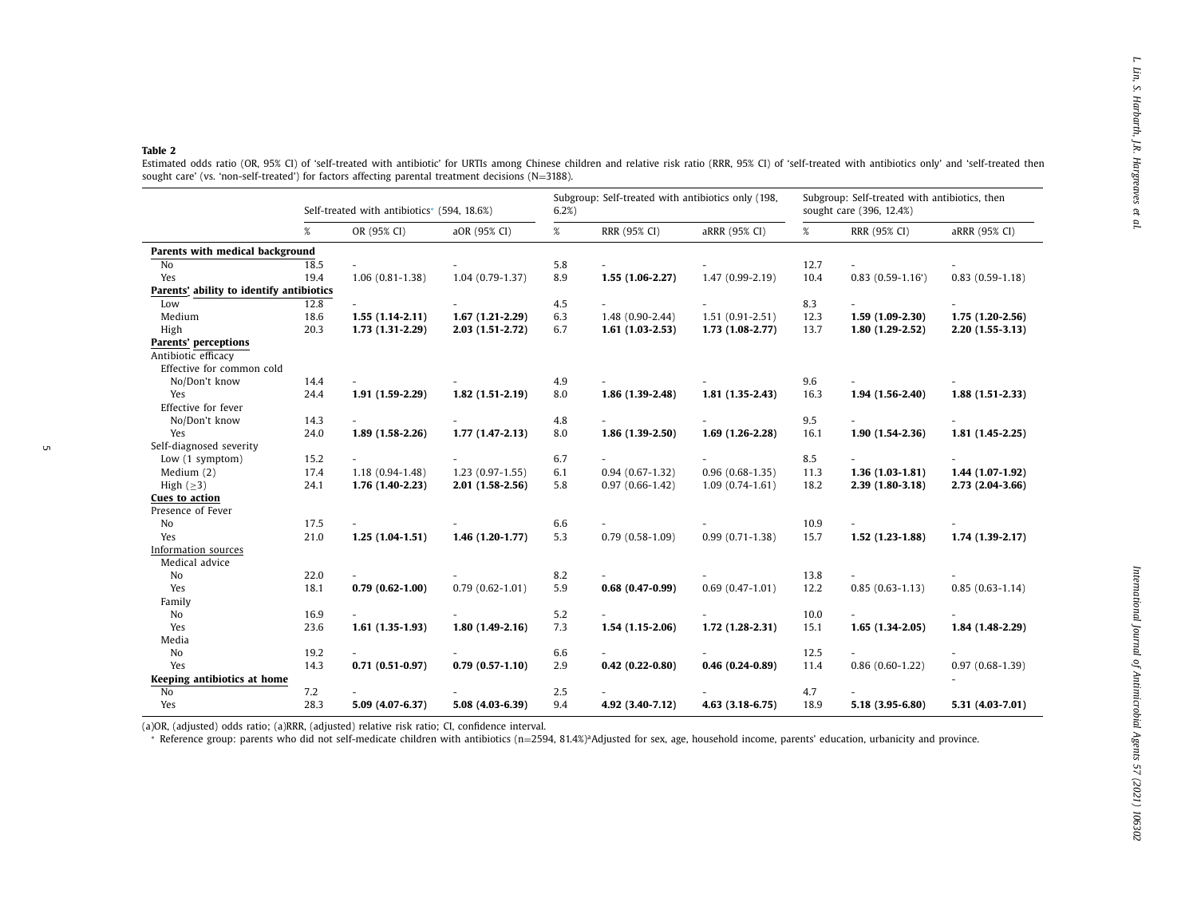<span id="page-4-0"></span>

| OR (95% CI)<br>18.5<br>19.4<br>$1.06(0.81-1.38)$ | aOR (95% CI)                                                                                                                                                                                                                                                                                                                | $\%$                                                                                                                                                                   | RRR (95% CI)                                                                     | aRRR (95% CI)                                                                                                                                                         | %                                                                                                                                                                    | RRR (95% CI)                                                                                       | aRRR (95% CI)                                                                                                                                                         |
|--------------------------------------------------|-----------------------------------------------------------------------------------------------------------------------------------------------------------------------------------------------------------------------------------------------------------------------------------------------------------------------------|------------------------------------------------------------------------------------------------------------------------------------------------------------------------|----------------------------------------------------------------------------------|-----------------------------------------------------------------------------------------------------------------------------------------------------------------------|----------------------------------------------------------------------------------------------------------------------------------------------------------------------|----------------------------------------------------------------------------------------------------|-----------------------------------------------------------------------------------------------------------------------------------------------------------------------|
|                                                  |                                                                                                                                                                                                                                                                                                                             |                                                                                                                                                                        |                                                                                  |                                                                                                                                                                       |                                                                                                                                                                      |                                                                                                    |                                                                                                                                                                       |
|                                                  |                                                                                                                                                                                                                                                                                                                             |                                                                                                                                                                        |                                                                                  |                                                                                                                                                                       |                                                                                                                                                                      |                                                                                                    |                                                                                                                                                                       |
|                                                  |                                                                                                                                                                                                                                                                                                                             | 5.8                                                                                                                                                                    |                                                                                  |                                                                                                                                                                       | 12.7                                                                                                                                                                 |                                                                                                    |                                                                                                                                                                       |
|                                                  | $1.04(0.79-1.37)$                                                                                                                                                                                                                                                                                                           | 8.9                                                                                                                                                                    | $1.55(1.06-2.27)$                                                                | $1.47(0.99-2.19)$                                                                                                                                                     | 10.4                                                                                                                                                                 | $0.83$ $(0.59-1.16)$                                                                               | $0.83(0.59-1.18)$                                                                                                                                                     |
| Parents' ability to identify antibiotics         |                                                                                                                                                                                                                                                                                                                             |                                                                                                                                                                        |                                                                                  |                                                                                                                                                                       |                                                                                                                                                                      |                                                                                                    |                                                                                                                                                                       |
| 12.8                                             |                                                                                                                                                                                                                                                                                                                             | 4.5                                                                                                                                                                    |                                                                                  |                                                                                                                                                                       | 8.3                                                                                                                                                                  |                                                                                                    |                                                                                                                                                                       |
| $1.55(1.14-2.11)$                                | $1.67(1.21-2.29)$                                                                                                                                                                                                                                                                                                           | 6.3                                                                                                                                                                    | $1.48(0.90-2.44)$                                                                | $1.51(0.91 - 2.51)$                                                                                                                                                   | 12.3                                                                                                                                                                 | $1.59(1.09-2.30)$                                                                                  | $1.75(1.20-2.56)$                                                                                                                                                     |
| 1.73 (1.31-2.29)                                 | $2.03(1.51-2.72)$                                                                                                                                                                                                                                                                                                           | 6.7                                                                                                                                                                    | $1.61(1.03-2.53)$                                                                | $1.73(1.08-2.77)$                                                                                                                                                     | 13.7                                                                                                                                                                 | $1.80(1.29-2.52)$                                                                                  | $2.20(1.55-3.13)$                                                                                                                                                     |
|                                                  |                                                                                                                                                                                                                                                                                                                             |                                                                                                                                                                        |                                                                                  |                                                                                                                                                                       |                                                                                                                                                                      |                                                                                                    |                                                                                                                                                                       |
| $\sim$                                           |                                                                                                                                                                                                                                                                                                                             | 4.9                                                                                                                                                                    |                                                                                  |                                                                                                                                                                       | 9.6                                                                                                                                                                  |                                                                                                    |                                                                                                                                                                       |
| $1.91(1.59-2.29)$                                | $1.82(1.51-2.19)$                                                                                                                                                                                                                                                                                                           | 8.0                                                                                                                                                                    | $1.86(1.39-2.48)$                                                                | $1.81(1.35-2.43)$                                                                                                                                                     | 16.3                                                                                                                                                                 | $1.94(1.56-2.40)$                                                                                  | $1.88(1.51-2.33)$                                                                                                                                                     |
|                                                  |                                                                                                                                                                                                                                                                                                                             |                                                                                                                                                                        |                                                                                  |                                                                                                                                                                       |                                                                                                                                                                      |                                                                                                    |                                                                                                                                                                       |
|                                                  |                                                                                                                                                                                                                                                                                                                             |                                                                                                                                                                        |                                                                                  |                                                                                                                                                                       |                                                                                                                                                                      |                                                                                                    |                                                                                                                                                                       |
|                                                  |                                                                                                                                                                                                                                                                                                                             |                                                                                                                                                                        |                                                                                  |                                                                                                                                                                       |                                                                                                                                                                      |                                                                                                    | $1.81(1.45-2.25)$                                                                                                                                                     |
|                                                  |                                                                                                                                                                                                                                                                                                                             |                                                                                                                                                                        |                                                                                  |                                                                                                                                                                       |                                                                                                                                                                      |                                                                                                    |                                                                                                                                                                       |
|                                                  |                                                                                                                                                                                                                                                                                                                             | 6.7                                                                                                                                                                    |                                                                                  |                                                                                                                                                                       | 8.5                                                                                                                                                                  |                                                                                                    |                                                                                                                                                                       |
|                                                  |                                                                                                                                                                                                                                                                                                                             |                                                                                                                                                                        |                                                                                  |                                                                                                                                                                       |                                                                                                                                                                      |                                                                                                    | 1.44 (1.07-1.92)                                                                                                                                                      |
|                                                  |                                                                                                                                                                                                                                                                                                                             |                                                                                                                                                                        |                                                                                  |                                                                                                                                                                       |                                                                                                                                                                      |                                                                                                    | 2.73 (2.04-3.66)                                                                                                                                                      |
| $\overline{\phantom{a}}$                         |                                                                                                                                                                                                                                                                                                                             |                                                                                                                                                                        |                                                                                  |                                                                                                                                                                       |                                                                                                                                                                      | $\sim$                                                                                             |                                                                                                                                                                       |
|                                                  |                                                                                                                                                                                                                                                                                                                             |                                                                                                                                                                        |                                                                                  |                                                                                                                                                                       |                                                                                                                                                                      |                                                                                                    | $1.74(1.39-2.17)$                                                                                                                                                     |
|                                                  |                                                                                                                                                                                                                                                                                                                             |                                                                                                                                                                        |                                                                                  |                                                                                                                                                                       |                                                                                                                                                                      |                                                                                                    |                                                                                                                                                                       |
|                                                  |                                                                                                                                                                                                                                                                                                                             |                                                                                                                                                                        |                                                                                  |                                                                                                                                                                       |                                                                                                                                                                      |                                                                                                    |                                                                                                                                                                       |
|                                                  |                                                                                                                                                                                                                                                                                                                             |                                                                                                                                                                        |                                                                                  |                                                                                                                                                                       |                                                                                                                                                                      |                                                                                                    | $0.85(0.63 - 1.14)$                                                                                                                                                   |
|                                                  |                                                                                                                                                                                                                                                                                                                             |                                                                                                                                                                        |                                                                                  |                                                                                                                                                                       |                                                                                                                                                                      |                                                                                                    |                                                                                                                                                                       |
| $\overline{\phantom{a}}$                         |                                                                                                                                                                                                                                                                                                                             |                                                                                                                                                                        | $\sim$                                                                           |                                                                                                                                                                       |                                                                                                                                                                      | $\overline{\phantom{0}}$                                                                           |                                                                                                                                                                       |
|                                                  |                                                                                                                                                                                                                                                                                                                             |                                                                                                                                                                        |                                                                                  |                                                                                                                                                                       |                                                                                                                                                                      |                                                                                                    | 1.84 (1.48-2.29)                                                                                                                                                      |
|                                                  |                                                                                                                                                                                                                                                                                                                             |                                                                                                                                                                        |                                                                                  |                                                                                                                                                                       |                                                                                                                                                                      |                                                                                                    |                                                                                                                                                                       |
|                                                  |                                                                                                                                                                                                                                                                                                                             |                                                                                                                                                                        |                                                                                  |                                                                                                                                                                       |                                                                                                                                                                      |                                                                                                    |                                                                                                                                                                       |
|                                                  |                                                                                                                                                                                                                                                                                                                             | 2.9                                                                                                                                                                    |                                                                                  |                                                                                                                                                                       |                                                                                                                                                                      |                                                                                                    | $0.97(0.68-1.39)$                                                                                                                                                     |
|                                                  |                                                                                                                                                                                                                                                                                                                             |                                                                                                                                                                        |                                                                                  |                                                                                                                                                                       |                                                                                                                                                                      |                                                                                                    |                                                                                                                                                                       |
|                                                  |                                                                                                                                                                                                                                                                                                                             |                                                                                                                                                                        |                                                                                  |                                                                                                                                                                       |                                                                                                                                                                      |                                                                                                    |                                                                                                                                                                       |
|                                                  |                                                                                                                                                                                                                                                                                                                             | 9.4                                                                                                                                                                    |                                                                                  |                                                                                                                                                                       | 18.9                                                                                                                                                                 |                                                                                                    | 5.31 (4.03-7.01)                                                                                                                                                      |
|                                                  | 18.6<br>20.3<br>14.4<br>24.4<br>14.3<br>24.0<br>$1.89(1.58-2.26)$<br>15.2<br>17.4<br>$1.18(0.94-1.48)$<br>24.1<br>1.76 (1.40-2.23)<br>17.5<br>21.0<br>$1.25(1.04-1.51)$<br>22.0<br>$0.79(0.62 - 1.00)$<br>18.1<br>16.9<br>23.6<br>$1.61(1.35-1.93)$<br>19.2<br>14.3<br>$0.71(0.51-0.97)$<br>7.2<br>28.3<br>5.09 (4.07-6.37) | $1.77(1.47-2.13)$<br>$1.23(0.97-1.55)$<br>$2.01(1.58-2.56)$<br>$1.46(1.20-1.77)$<br>$0.79(0.62 - 1.01)$<br>$1.80(1.49-2.16)$<br>$0.79(0.57-1.10)$<br>$5.08(4.03-6.39)$ | 4.8<br>8.0<br>6.1<br>5.8<br>6.6<br>5.3<br>8.2<br>5.9<br>5.2<br>7.3<br>6.6<br>2.5 | $1.86(1.39-2.50)$<br>$0.94(0.67-1.32)$<br>$0.97(0.66-1.42)$<br>$0.79(0.58-1.09)$<br>$0.68(0.47-0.99)$<br>$1.54(1.15-2.06)$<br>$0.42(0.22 - 0.80)$<br>4.92 (3.40-7.12) | $1.69(1.26-2.28)$<br>$0.96(0.68-1.35)$<br>$1.09(0.74-1.61)$<br>$0.99(0.71-1.38)$<br>$0.69(0.47-1.01)$<br>$1.72(1.28-2.31)$<br>$0.46(0.24-0.89)$<br>$4.63(3.18-6.75)$ | 9.5<br>16.1<br>11.3<br>18.2<br>10.9<br>15.7<br>13.8<br>12.2<br>10.0<br>15.1<br>12.5<br>11.4<br>4.7 | $1.90(1.54-2.36)$<br>$1.36(1.03-1.81)$<br>$2.39(1.80-3.18)$<br>$1.52(1.23-1.88)$<br>$0.85(0.63 - 1.13)$<br>$1.65(1.34-2.05)$<br>$0.86(0.60-1.22)$<br>5.18 (3.95-6.80) |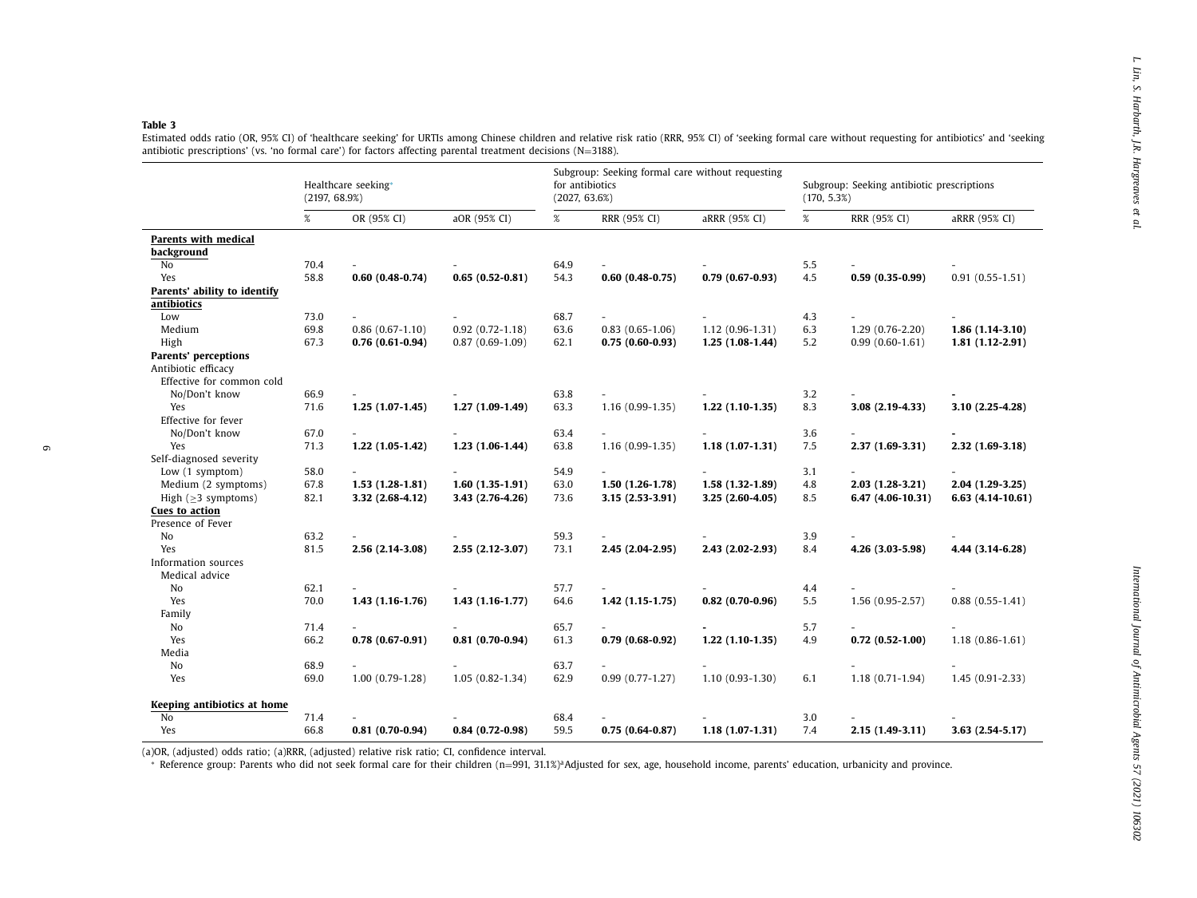<span id="page-5-0"></span>

|                                                                          | Healthcare seeking*<br>(2197, 68.9%) |                          |                     | Subgroup: Seeking formal care without requesting<br>for antibiotics<br>(2027, 63.6%) |                          |                     | Subgroup: Seeking antibiotic prescriptions<br>(170, 5.3%) |                          |                     |
|--------------------------------------------------------------------------|--------------------------------------|--------------------------|---------------------|--------------------------------------------------------------------------------------|--------------------------|---------------------|-----------------------------------------------------------|--------------------------|---------------------|
|                                                                          | %                                    | OR (95% CI)              | aOR (95% CI)        | %                                                                                    | RRR (95% CI)             | aRRR (95% CI)       | %                                                         | RRR (95% CI)             | aRRR (95% CI)       |
| Parents with medical                                                     |                                      |                          |                     |                                                                                      |                          |                     |                                                           |                          |                     |
| background                                                               |                                      |                          |                     |                                                                                      |                          |                     |                                                           |                          |                     |
| No                                                                       | 70.4                                 |                          |                     | 64.9                                                                                 |                          |                     | 5.5                                                       |                          |                     |
| Yes                                                                      | 58.8                                 | $0.60(0.48-0.74)$        | $0.65(0.52-0.81)$   | 54.3                                                                                 | $0.60(0.48-0.75)$        | $0.79(0.67-0.93)$   | 4.5                                                       | $0.59(0.35-0.99)$        | $0.91(0.55-1.51)$   |
| Parents' ability to identify                                             |                                      |                          |                     |                                                                                      |                          |                     |                                                           |                          |                     |
| antibiotics                                                              |                                      |                          |                     |                                                                                      |                          |                     |                                                           |                          |                     |
| Low                                                                      | 73.0                                 |                          |                     | 68.7                                                                                 |                          |                     | 4.3                                                       |                          |                     |
| Medium                                                                   | 69.8                                 | $0.86(0.67-1.10)$        | $0.92(0.72 - 1.18)$ | 63.6                                                                                 | $0.83(0.65-1.06)$        | $1.12(0.96-1.31)$   | 6.3                                                       | $1.29(0.76-2.20)$        | $1.86(1.14-3.10)$   |
| High                                                                     | 67.3                                 | $0.76(0.61-0.94)$        | $0.87(0.69-1.09)$   | 62.1                                                                                 | $0.75(0.60-0.93)$        | $1.25(1.08-1.44)$   | 5.2                                                       | $0.99(0.60-1.61)$        | $1.81(1.12-2.91)$   |
| Parents' perceptions<br>Antibiotic efficacy<br>Effective for common cold |                                      |                          |                     |                                                                                      |                          |                     |                                                           |                          |                     |
| No/Don't know                                                            | 66.9                                 | $\sim$                   |                     | 63.8                                                                                 | $\sim$                   |                     | 3.2                                                       |                          |                     |
| Yes                                                                      | 71.6                                 | $1.25(1.07-1.45)$        | $1.27(1.09-1.49)$   | 63.3                                                                                 | $1.16(0.99-1.35)$        | $1.22(1.10-1.35)$   | 8.3                                                       | 3.08 (2.19-4.33)         | 3.10 (2.25-4.28)    |
| Effective for fever                                                      |                                      |                          |                     |                                                                                      |                          |                     |                                                           |                          |                     |
| No/Don't know                                                            | 67.0                                 | $\sim$                   |                     | 63.4                                                                                 | $\sim$                   | $\sim$              | 3.6                                                       | $\sim$                   |                     |
| Yes                                                                      | 71.3                                 | $1.22(1.05-1.42)$        | $1.23(1.06-1.44)$   | 63.8                                                                                 | $1.16(0.99-1.35)$        | $1.18(1.07-1.31)$   | 7.5                                                       | $2.37(1.69-3.31)$        | $2.32(1.69-3.18)$   |
| Self-diagnosed severity                                                  |                                      |                          |                     |                                                                                      |                          |                     |                                                           |                          |                     |
| Low (1 symptom)                                                          | 58.0                                 | $\sim$                   |                     | 54.9                                                                                 |                          | $\sim$ 10 $\,$      | 3.1                                                       | $\sim$                   |                     |
| Medium (2 symptoms)                                                      | 67.8                                 | $1.53(1.28-1.81)$        | $1.60(1.35-1.91)$   | 63.0                                                                                 | $1.50(1.26-1.78)$        | $1.58(1.32-1.89)$   | 4.8                                                       | $2.03(1.28-3.21)$        | $2.04(1.29-3.25)$   |
| High ( $\geq$ 3 symptoms)                                                | 82.1                                 | 3.32 (2.68-4.12)         | 3.43 (2.76-4.26)    | 73.6                                                                                 | $3.15(2.53-3.91)$        | $3.25(2.60-4.05)$   | 8.5                                                       | 6.47 (4.06-10.31)        | $6.63(4.14-10.61)$  |
| Cues to action<br>Presence of Fever                                      |                                      |                          |                     |                                                                                      |                          |                     |                                                           |                          |                     |
| No                                                                       | 63.2                                 |                          |                     | 59.3                                                                                 |                          |                     | 3.9                                                       |                          |                     |
| Yes<br>Information sources                                               | 81.5                                 | 2.56 (2.14-3.08)         | $2.55(2.12-3.07)$   | 73.1                                                                                 | $2.45(2.04-2.95)$        | $2.43(2.02 - 2.93)$ | 8.4                                                       | 4.26 (3.03-5.98)         | 4.44 (3.14-6.28)    |
| Medical advice                                                           |                                      |                          |                     |                                                                                      |                          |                     |                                                           |                          |                     |
| No                                                                       | 62.1                                 | $\overline{\phantom{a}}$ |                     | 57.7                                                                                 | $\overline{\phantom{a}}$ |                     | 4.4                                                       | $\overline{\phantom{a}}$ |                     |
| Yes                                                                      | 70.0                                 | $1.43(1.16-1.76)$        | $1.43(1.16-1.77)$   | 64.6                                                                                 | $1.42(1.15-1.75)$        | $0.82(0.70-0.96)$   | 5.5                                                       | $1.56(0.95 - 2.57)$      | $0.88(0.55-1.41)$   |
| Family                                                                   |                                      |                          |                     |                                                                                      |                          |                     |                                                           |                          |                     |
| No                                                                       | 71.4                                 |                          |                     | 65.7                                                                                 |                          |                     | 5.7                                                       |                          |                     |
| Yes                                                                      | 66.2                                 | $0.78(0.67-0.91)$        | $0.81(0.70-0.94)$   | 61.3                                                                                 | $0.79(0.68-0.92)$        | $1.22(1.10-1.35)$   | 4.9                                                       | $0.72(0.52-1.00)$        | $1.18(0.86 - 1.61)$ |
| Media<br>No                                                              | 68.9                                 |                          |                     | 63.7                                                                                 |                          |                     |                                                           |                          |                     |
| Yes                                                                      | 69.0                                 | $1.00(0.79-1.28)$        | $1.05(0.82 - 1.34)$ | 62.9                                                                                 | $0.99(0.77-1.27)$        | $1.10(0.93-1.30)$   | 6.1                                                       | $1.18(0.71-1.94)$        | $1.45(0.91 - 2.33)$ |
| Keeping antibiotics at home                                              |                                      |                          |                     |                                                                                      |                          |                     |                                                           |                          |                     |
| No                                                                       | 71.4                                 |                          |                     | 68.4                                                                                 |                          |                     | 3.0                                                       |                          |                     |
| Yes                                                                      | 66.8                                 | $0.81(0.70-0.94)$        | $0.84(0.72-0.98)$   | 59.5                                                                                 | $0.75(0.64-0.87)$        | $1.18(1.07-1.31)$   | 7.4                                                       | $2.15(1.49-3.11)$        | $3.63(2.54-5.17)$   |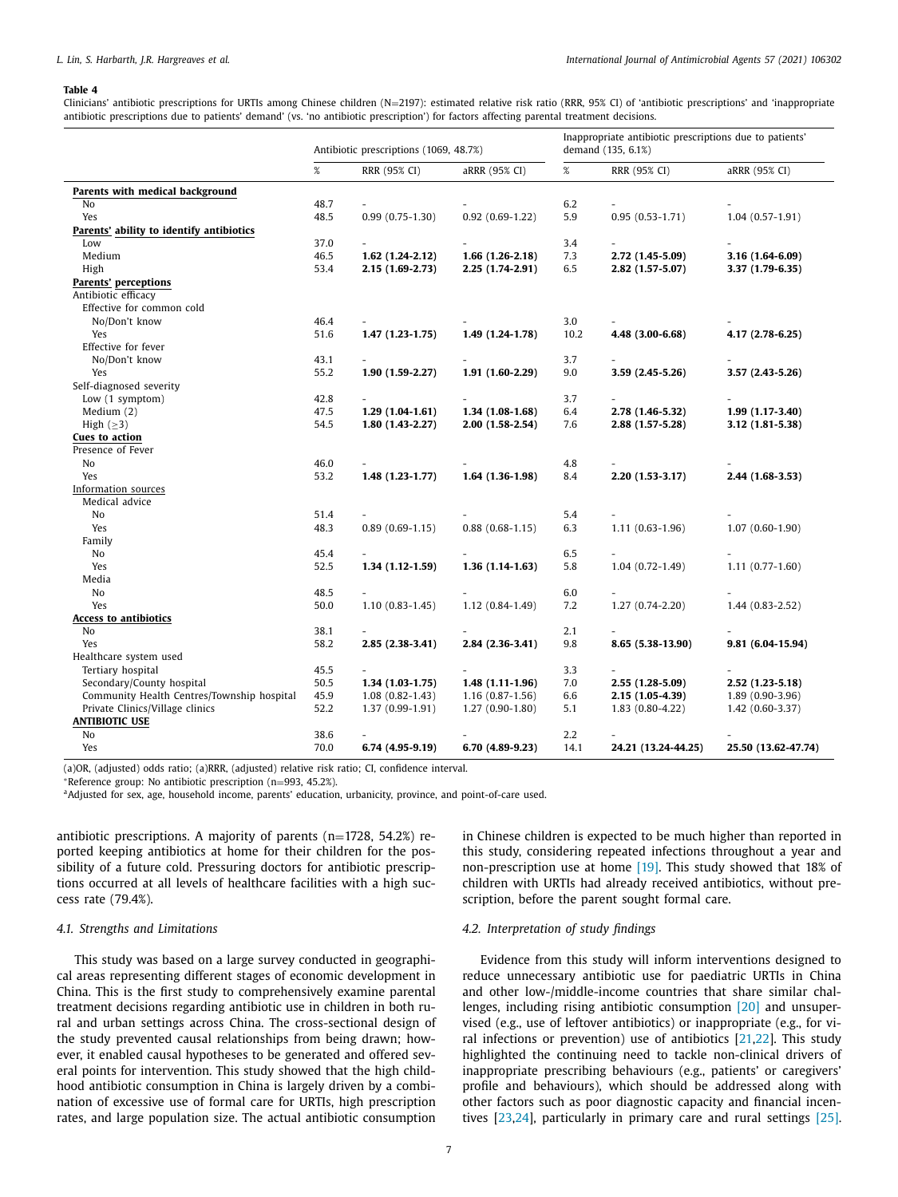#### <span id="page-6-0"></span>**Table 4**

Clinicians' antibiotic prescriptions for URTIs among Chinese children (N=2197): estimated relative risk ratio (RRR, 95% CI) of 'antibiotic prescriptions' and 'inappropriate antibiotic prescriptions due to patients' demand' (vs. 'no antibiotic prescription') for factors affecting parental treatment decisions.

|                                            | Antibiotic prescriptions (1069, 48.7%) |                     |                     |            | Inappropriate antibiotic prescriptions due to patients'<br>demand (135, 6.1%) |                     |  |  |  |
|--------------------------------------------|----------------------------------------|---------------------|---------------------|------------|-------------------------------------------------------------------------------|---------------------|--|--|--|
|                                            | $\%$                                   | RRR (95% CI)        | aRRR (95% CI)       | $\%$       | RRR (95% CI)                                                                  | aRRR (95% CI)       |  |  |  |
| Parents with medical background            |                                        |                     |                     |            |                                                                               |                     |  |  |  |
| No                                         | 48.7                                   |                     |                     | 6.2        | $\overline{\phantom{0}}$                                                      |                     |  |  |  |
| Yes                                        | 48.5                                   | $0.99(0.75-1.30)$   | $0.92(0.69-1.22)$   | 5.9        | $0.95(0.53-1.71)$                                                             | $1.04(0.57-1.91)$   |  |  |  |
| Parents' ability to identify antibiotics   |                                        |                     |                     |            |                                                                               |                     |  |  |  |
| Low                                        | 37.0                                   |                     |                     | 3.4        |                                                                               |                     |  |  |  |
| Medium                                     | 46.5                                   | $1.62(1.24-2.12)$   | $1.66(1.26-2.18)$   | 7.3        | 2.72 (1.45-5.09)                                                              | 3.16 (1.64-6.09)    |  |  |  |
| High                                       | 53.4                                   | $2.15(1.69-2.73)$   | $2.25(1.74-2.91)$   | 6.5        | $2.82(1.57-5.07)$                                                             | 3.37 (1.79-6.35)    |  |  |  |
| <b>Parents' perceptions</b>                |                                        |                     |                     |            |                                                                               |                     |  |  |  |
| Antibiotic efficacy                        |                                        |                     |                     |            |                                                                               |                     |  |  |  |
| Effective for common cold                  |                                        |                     |                     |            |                                                                               |                     |  |  |  |
| No/Don't know                              | 46.4                                   |                     |                     | 3.0        |                                                                               |                     |  |  |  |
| Yes                                        | 51.6                                   | $1.47(1.23-1.75)$   | $1.49(1.24-1.78)$   | 10.2       | 4.48 (3.00-6.68)                                                              | 4.17 (2.78-6.25)    |  |  |  |
| Effective for fever                        |                                        |                     |                     |            |                                                                               |                     |  |  |  |
| No/Don't know                              | 43.1                                   |                     |                     | 3.7        |                                                                               |                     |  |  |  |
| Yes                                        | 55.2                                   | $1.90(1.59-2.27)$   | $1.91(1.60-2.29)$   | 9.0        | 3.59 (2.45-5.26)                                                              | 3.57 (2.43-5.26)    |  |  |  |
| Self-diagnosed severity                    |                                        |                     |                     |            |                                                                               |                     |  |  |  |
| Low (1 symptom)                            | 42.8                                   |                     |                     | 3.7        |                                                                               |                     |  |  |  |
| Medium $(2)$                               | 47.5                                   | $1.29(1.04-1.61)$   | $1.34(1.08-1.68)$   | 6.4        | 2.78 (1.46-5.32)                                                              | $1.99(1.17-3.40)$   |  |  |  |
| High $(\geq 3)$                            | 54.5                                   | $1.80(1.43-2.27)$   | $2.00(1.58-2.54)$   | 7.6        | 2.88 (1.57-5.28)                                                              | 3.12 (1.81-5.38)    |  |  |  |
| <b>Cues to action</b>                      |                                        |                     |                     |            |                                                                               |                     |  |  |  |
| Presence of Fever                          |                                        |                     |                     |            |                                                                               |                     |  |  |  |
| No                                         | 46.0                                   |                     |                     | 4.8        |                                                                               |                     |  |  |  |
| Yes                                        | 53.2                                   | $1.48(1.23-1.77)$   | $1.64(1.36-1.98)$   | 8.4        | $2.20(1.53-3.17)$                                                             | 2.44 (1.68-3.53)    |  |  |  |
| Information sources                        |                                        |                     |                     |            |                                                                               |                     |  |  |  |
| Medical advice                             |                                        |                     |                     |            |                                                                               |                     |  |  |  |
| No                                         | 51.4                                   | $0.89(0.69-1.15)$   |                     | 5.4<br>6.3 |                                                                               |                     |  |  |  |
| Yes<br>Family                              | 48.3                                   |                     | $0.88(0.68 - 1.15)$ |            | $1.11(0.63-1.96)$                                                             | $1.07(0.60-1.90)$   |  |  |  |
| No                                         | 45.4                                   |                     |                     | 6.5        | $\overline{\phantom{0}}$                                                      |                     |  |  |  |
| Yes                                        | 52.5                                   | $1.34(1.12-1.59)$   | $1.36(1.14-1.63)$   | 5.8        | $1.04(0.72-1.49)$                                                             | $1.11(0.77-1.60)$   |  |  |  |
| Media                                      |                                        |                     |                     |            |                                                                               |                     |  |  |  |
| No                                         | 48.5                                   |                     |                     | 6.0        |                                                                               |                     |  |  |  |
| Yes                                        | 50.0                                   | $1.10(0.83 - 1.45)$ | $1.12(0.84-1.49)$   | 7.2        | $1.27(0.74-2.20)$                                                             | $1.44(0.83 - 2.52)$ |  |  |  |
| Access to antibiotics                      |                                        |                     |                     |            |                                                                               |                     |  |  |  |
| No                                         | 38.1                                   |                     |                     | 2.1        |                                                                               |                     |  |  |  |
| Yes                                        | 58.2                                   | $2.85(2.38-3.41)$   | 2.84 (2.36-3.41)    | 9.8        | 8.65 (5.38-13.90)                                                             | 9.81 (6.04-15.94)   |  |  |  |
| Healthcare system used                     |                                        |                     |                     |            |                                                                               |                     |  |  |  |
| Tertiary hospital                          | 45.5                                   |                     |                     | 3.3        |                                                                               |                     |  |  |  |
| Secondary/County hospital                  | 50.5                                   | $1.34(1.03-1.75)$   | $1.48(1.11-1.96)$   | 7.0        | 2.55 (1.28-5.09)                                                              | $2.52(1.23 - 5.18)$ |  |  |  |
| Community Health Centres/Township hospital | 45.9                                   | $1.08(0.82 - 1.43)$ | $1.16(0.87-1.56)$   | 6.6        | $2.15(1.05-4.39)$                                                             | $1.89(0.90-3.96)$   |  |  |  |
| Private Clinics/Village clinics            | 52.2                                   | $1.37(0.99-1.91)$   | $1.27(0.90-1.80)$   | 5.1        | $1.83(0.80 - 4.22)$                                                           | $1.42(0.60-3.37)$   |  |  |  |
| <b>ANTIBIOTIC USE</b>                      |                                        |                     |                     |            |                                                                               |                     |  |  |  |
| No                                         | 38.6                                   |                     |                     | 2.2        |                                                                               |                     |  |  |  |
| Yes                                        | 70.0                                   | $6.74(4.95-9.19)$   | $6.70(4.89-9.23)$   | 14.1       | 24.21 (13.24-44.25)                                                           | 25.50 (13.62-47.74) |  |  |  |
|                                            |                                        |                     |                     |            |                                                                               |                     |  |  |  |

(a)OR, (adjusted) odds ratio; (a)RRR, (adjusted) relative risk ratio; CI, confidence interval.

\*Reference group: No antibiotic prescription (n=993, 45.2%).<br><sup>a</sup>Adjusted for sex, age, household income, parents' education, urbanicity, province, and point-of-care used.

antibiotic prescriptions. A majority of parents (n=1728, 54.2%) reported keeping antibiotics at home for their children for the possibility of a future cold. Pressuring doctors for antibiotic prescriptions occurred at all levels of healthcare facilities with a high success rate (79.4%).

#### *4.1. Strengths and Limitations*

This study was based on a large survey conducted in geographical areas representing different stages of economic development in China. This is the first study to comprehensively examine parental treatment decisions regarding antibiotic use in children in both rural and urban settings across China. The cross-sectional design of the study prevented causal relationships from being drawn; however, it enabled causal hypotheses to be generated and offered several points for intervention. This study showed that the high childhood antibiotic consumption in China is largely driven by a combination of excessive use of formal care for URTIs, high prescription rates, and large population size. The actual antibiotic consumption in Chinese children is expected to be much higher than reported in this study, considering repeated infections throughout a year and non-prescription use at home [\[19\].](#page-8-0) This study showed that 18% of children with URTIs had already received antibiotics, without prescription, before the parent sought formal care.

# *4.2. Interpretation of study findings*

Evidence from this study will inform interventions designed to reduce unnecessary antibiotic use for paediatric URTIs in China and other low-/middle-income countries that share similar challenges, including rising antibiotic consumption [\[20\]](#page-8-0) and unsupervised (e.g., use of leftover antibiotics) or inappropriate (e.g., for viral infections or prevention) use of antibiotics  $[21,22]$ . This study highlighted the continuing need to tackle non-clinical drivers of inappropriate prescribing behaviours (e.g., patients' or caregivers' profile and behaviours), which should be addressed along with other factors such as poor diagnostic capacity and financial incentives [\[23,24\]](#page-8-0), particularly in primary care and rural settings [\[25\].](#page-8-0)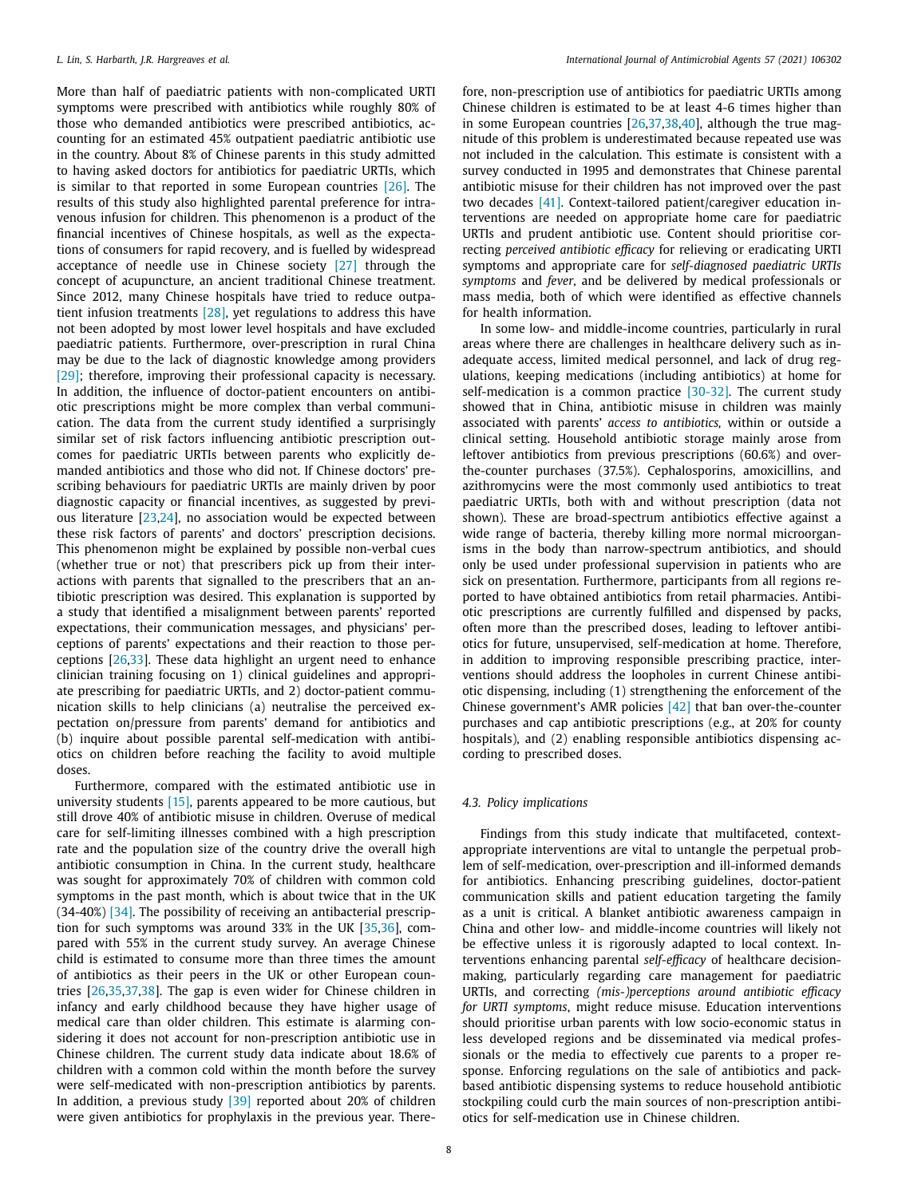More than half of paediatric patients with non-complicated URTI symptoms were prescribed with antibiotics while roughly 80% of those who demanded antibiotics were prescribed antibiotics, accounting for an estimated 45% outpatient paediatric antibiotic use in the country. About 8% of Chinese parents in this study admitted to having asked doctors for antibiotics for paediatric URTIs, which is similar to that reported in some European countries [\[26\].](#page-8-0) The results of this study also highlighted parental preference for intravenous infusion for children. This phenomenon is a product of the financial incentives of Chinese hospitals, as well as the expectations of consumers for rapid recovery, and is fuelled by widespread acceptance of needle use in Chinese society [\[27\]](#page-8-0) through the concept of acupuncture, an ancient traditional Chinese treatment. Since 2012, many Chinese hospitals have tried to reduce outpatient infusion treatments [\[28\],](#page-8-0) yet regulations to address this have not been adopted by most lower level hospitals and have excluded paediatric patients. Furthermore, over-prescription in rural China may be due to the lack of diagnostic knowledge among providers [\[29\];](#page-8-0) therefore, improving their professional capacity is necessary. In addition, the influence of doctor-patient encounters on antibiotic prescriptions might be more complex than verbal communication. The data from the current study identified a surprisingly similar set of risk factors influencing antibiotic prescription outcomes for paediatric URTIs between parents who explicitly demanded antibiotics and those who did not. If Chinese doctors' prescribing behaviours for paediatric URTIs are mainly driven by poor diagnostic capacity or financial incentives, as suggested by previous literature [\[23,24\]](#page-8-0), no association would be expected between these risk factors of parents' and doctors' prescription decisions. This phenomenon might be explained by possible non-verbal cues (whether true or not) that prescribers pick up from their interactions with parents that signalled to the prescribers that an antibiotic prescription was desired. This explanation is supported by a study that identified a misalignment between parents' reported expectations, their communication messages, and physicians' perceptions of parents' expectations and their reaction to those perceptions [\[26,33\]](#page-8-0). These data highlight an urgent need to enhance clinician training focusing on 1) clinical guidelines and appropriate prescribing for paediatric URTIs, and 2) doctor-patient communication skills to help clinicians (a) neutralise the perceived expectation on/pressure from parents' demand for antibiotics and (b) inquire about possible parental self-medication with antibiotics on children before reaching the facility to avoid multiple doses.

Furthermore, compared with the estimated antibiotic use in university students [\[15\],](#page-8-0) parents appeared to be more cautious, but still drove 40% of antibiotic misuse in children. Overuse of medical care for self-limiting illnesses combined with a high prescription rate and the population size of the country drive the overall high antibiotic consumption in China. In the current study, healthcare was sought for approximately 70% of children with common cold symptoms in the past month, which is about twice that in the UK (34-40%) [\[34\].](#page-8-0) The possibility of receiving an antibacterial prescription for such symptoms was around 33% in the UK [\[35,36\]](#page-8-0), compared with 55% in the current study survey. An average Chinese child is estimated to consume more than three times the amount of antibiotics as their peers in the UK or other European countries [\[26,35,37,](#page-8-0)[38\]](#page-9-0). The gap is even wider for Chinese children in infancy and early childhood because they have higher usage of medical care than older children. This estimate is alarming considering it does not account for non-prescription antibiotic use in Chinese children. The current study data indicate about 18.6% of children with a common cold within the month before the survey were self-medicated with non-prescription antibiotics by parents. In addition, a previous study  $\sqrt{39}$  reported about 20% of children were given antibiotics for prophylaxis in the previous year. There-

fore, non-prescription use of antibiotics for paediatric URTIs among Chinese children is estimated to be at least 4-6 times higher than in some European countries [\[26,37,](#page-8-0)[38,40\]](#page-9-0), although the true magnitude of this problem is underestimated because repeated use was not included in the calculation. This estimate is consistent with a survey conducted in 1995 and demonstrates that Chinese parental antibiotic misuse for their children has not improved over the past two decades [\[41\].](#page-9-0) Context-tailored patient/caregiver education interventions are needed on appropriate home care for paediatric URTIs and prudent antibiotic use. Content should prioritise correcting *perceived antibiotic efficacy* for relieving or eradicating URTI symptoms and appropriate care for *self-diagnosed paediatric URTIs symptoms* and *fever*, and be delivered by medical professionals or mass media, both of which were identified as effective channels for health information.

In some low- and middle-income countries, particularly in rural areas where there are challenges in healthcare delivery such as inadequate access, limited medical personnel, and lack of drug regulations, keeping medications (including antibiotics) at home for self-medication is a common practice [\[30-32\].](#page-8-0) The current study showed that in China, antibiotic misuse in children was mainly associated with parents' *access to antibiotics,* within or outside a clinical setting. Household antibiotic storage mainly arose from leftover antibiotics from previous prescriptions (60.6%) and overthe-counter purchases (37.5%). Cephalosporins, amoxicillins, and azithromycins were the most commonly used antibiotics to treat paediatric URTIs, both with and without prescription (data not shown). These are broad-spectrum antibiotics effective against a wide range of bacteria, thereby killing more normal microorganisms in the body than narrow-spectrum antibiotics, and should only be used under professional supervision in patients who are sick on presentation. Furthermore, participants from all regions reported to have obtained antibiotics from retail pharmacies. Antibiotic prescriptions are currently fulfilled and dispensed by packs, often more than the prescribed doses, leading to leftover antibiotics for future, unsupervised, self-medication at home. Therefore, in addition to improving responsible prescribing practice, interventions should address the loopholes in current Chinese antibiotic dispensing, including (1) strengthening the enforcement of the Chinese government's AMR policies [\[42\]](#page-9-0) that ban over-the-counter purchases and cap antibiotic prescriptions (e.g., at 20% for county hospitals), and (2) enabling responsible antibiotics dispensing according to prescribed doses.

## *4.3. Policy implications*

Findings from this study indicate that multifaceted, contextappropriate interventions are vital to untangle the perpetual problem of self-medication, over-prescription and ill-informed demands for antibiotics. Enhancing prescribing guidelines, doctor-patient communication skills and patient education targeting the family as a unit is critical. A blanket antibiotic awareness campaign in China and other low- and middle-income countries will likely not be effective unless it is rigorously adapted to local context. Interventions enhancing parental *self-efficacy* of healthcare decisionmaking, particularly regarding care management for paediatric URTIs, and correcting *(mis-)perceptions around antibiotic efficacy for URTI symptoms*, might reduce misuse. Education interventions should prioritise urban parents with low socio-economic status in less developed regions and be disseminated via medical professionals or the media to effectively cue parents to a proper response. Enforcing regulations on the sale of antibiotics and packbased antibiotic dispensing systems to reduce household antibiotic stockpiling could curb the main sources of non-prescription antibiotics for self-medication use in Chinese children.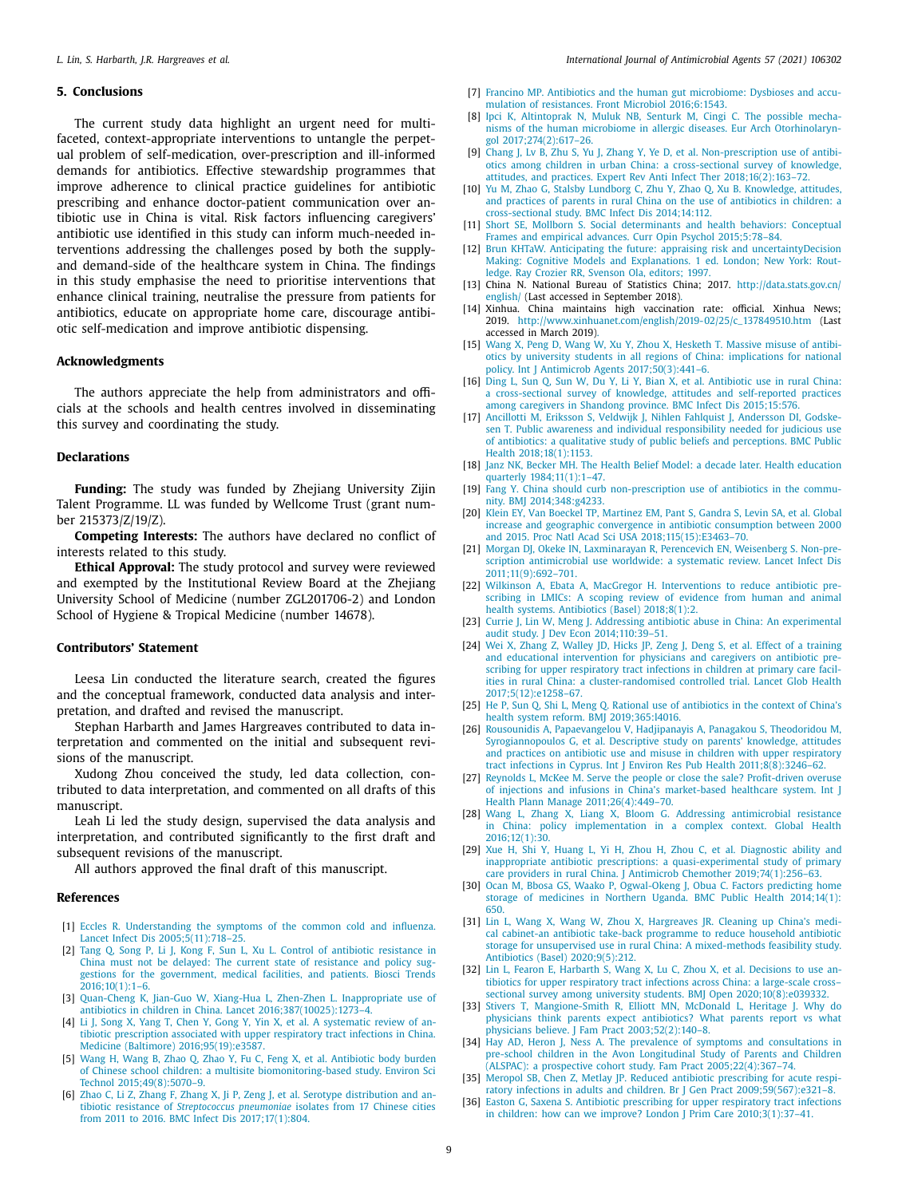### <span id="page-8-0"></span>**5. Conclusions**

The current study data highlight an urgent need for multifaceted, context-appropriate interventions to untangle the perpetual problem of self-medication, over-prescription and ill-informed demands for antibiotics. Effective stewardship programmes that improve adherence to clinical practice guidelines for antibiotic prescribing and enhance doctor-patient communication over antibiotic use in China is vital. Risk factors influencing caregivers' antibiotic use identified in this study can inform much-needed interventions addressing the challenges posed by both the supplyand demand-side of the healthcare system in China. The findings in this study emphasise the need to prioritise interventions that enhance clinical training, neutralise the pressure from patients for antibiotics, educate on appropriate home care, discourage antibiotic self-medication and improve antibiotic dispensing.

#### **Acknowledgments**

The authors appreciate the help from administrators and officials at the schools and health centres involved in disseminating this survey and coordinating the study.

#### **Declarations**

**Funding:** The study was funded by Zheijang University Zijin Talent Programme. LL was funded by Wellcome Trust (grant number 215373/Z/19/Z).

**Competing Interests:** The authors have declared no conflict of interests related to this study.

**Ethical Approval:** The study protocol and survey were reviewed and exempted by the Institutional Review Board at the Zhejiang University School of Medicine (number ZGL201706-2) and London School of Hygiene & Tropical Medicine (number 14678).

## **Contributors' Statement**

Leesa Lin conducted the literature search, created the figures and the conceptual framework, conducted data analysis and interpretation, and drafted and revised the manuscript.

Stephan Harbarth and James Hargreaves contributed to data interpretation and commented on the initial and subsequent revisions of the manuscript.

Xudong Zhou conceived the study, led data collection, contributed to data interpretation, and commented on all drafts of this manuscript.

Leah Li led the study design, supervised the data analysis and interpretation, and contributed significantly to the first draft and subsequent revisions of the manuscript.

All authors approved the final draft of this manuscript.

### **References**

- [1] [Eccles](http://refhub.elsevier.com/S0924-8579(21)00032-7/sbref0001) R. Understanding the symptoms of the common cold and influenza. Lancet Infect Dis [2005;5\(11\):718–25.](http://refhub.elsevier.com/S0924-8579(21)00032-7/sbref0001)
- [2] [Tang](http://refhub.elsevier.com/S0924-8579(21)00032-7/sbref0002) Q, [Song](http://refhub.elsevier.com/S0924-8579(21)00032-7/sbref0002) P, [Li](http://refhub.elsevier.com/S0924-8579(21)00032-7/sbref0002) J, [Kong](http://refhub.elsevier.com/S0924-8579(21)00032-7/sbref0002) F, [Sun](http://refhub.elsevier.com/S0924-8579(21)00032-7/sbref0002) L, [Xu](http://refhub.elsevier.com/S0924-8579(21)00032-7/sbref0002) L. Control of antibiotic resistance in China must not be delayed: The current state of resistance and policy suggestions for the government, medical facilities, and patients. Biosci Trends  $2016:10(1):1-6$ .
- [3] [Quan-Cheng](http://refhub.elsevier.com/S0924-8579(21)00032-7/sbref0003) K, [Jian-Guo](http://refhub.elsevier.com/S0924-8579(21)00032-7/sbref0003) W, [Xiang-Hua](http://refhub.elsevier.com/S0924-8579(21)00032-7/sbref0003) L, [Zhen-Zhen](http://refhub.elsevier.com/S0924-8579(21)00032-7/sbref0003) L. Inappropriate use of antibiotics in children in China. Lancet [2016;387\(10025\):1273–4.](http://refhub.elsevier.com/S0924-8579(21)00032-7/sbref0003)
- [4] [Li](http://refhub.elsevier.com/S0924-8579(21)00032-7/sbref0004) J, [Song](http://refhub.elsevier.com/S0924-8579(21)00032-7/sbref0004) X, [Yang](http://refhub.elsevier.com/S0924-8579(21)00032-7/sbref0004) T, [Chen](http://refhub.elsevier.com/S0924-8579(21)00032-7/sbref0004) Y, [Gong](http://refhub.elsevier.com/S0924-8579(21)00032-7/sbref0004) Y, [Yin](http://refhub.elsevier.com/S0924-8579(21)00032-7/sbref0004) X, et [al.](http://refhub.elsevier.com/S0924-8579(21)00032-7/sbref0004) A systematic review of antibiotic prescription associated with upper respiratory tract infections in China. Medicine (Baltimore) [2016;95\(19\):e3587.](http://refhub.elsevier.com/S0924-8579(21)00032-7/sbref0004)
- [5] [Wang](http://refhub.elsevier.com/S0924-8579(21)00032-7/sbref0005) H, [Wang](http://refhub.elsevier.com/S0924-8579(21)00032-7/sbref0005) B, [Zhao](http://refhub.elsevier.com/S0924-8579(21)00032-7/sbref0005) Q, [Zhao](http://refhub.elsevier.com/S0924-8579(21)00032-7/sbref0005) Y, [Fu](http://refhub.elsevier.com/S0924-8579(21)00032-7/sbref0005) C, [Feng](http://refhub.elsevier.com/S0924-8579(21)00032-7/sbref0005) X, et [al.](http://refhub.elsevier.com/S0924-8579(21)00032-7/sbref0005) Antibiotic body burden of Chinese school children: a multisite [biomonitoring-based](http://refhub.elsevier.com/S0924-8579(21)00032-7/sbref0005) study. Environ Sci Technol 2015;49(8):5070–9.
- [6] [Zhao](http://refhub.elsevier.com/S0924-8579(21)00032-7/sbref0006) C, [Li](http://refhub.elsevier.com/S0924-8579(21)00032-7/sbref0006) Z, [Zhang](http://refhub.elsevier.com/S0924-8579(21)00032-7/sbref0006) F, [Zhang](http://refhub.elsevier.com/S0924-8579(21)00032-7/sbref0006) X, Ji [P,](http://refhub.elsevier.com/S0924-8579(21)00032-7/sbref0006) [Zeng](http://refhub.elsevier.com/S0924-8579(21)00032-7/sbref0006) J, et [al.](http://refhub.elsevier.com/S0924-8579(21)00032-7/sbref0006) Serotype distribution and antibiotic resistance of *Streptococcus pneumoniae* isolates from 17 Chinese cities from 2011 to 2016. BMC Infect Dis [2017;17\(1\):804.](http://refhub.elsevier.com/S0924-8579(21)00032-7/sbref0006)
- [7] [Francino](http://refhub.elsevier.com/S0924-8579(21)00032-7/sbref0007) MP. Antibiotics and the human gut microbiome: Dysbioses and accumulation of resistances. Front Microbiol [2016;6:1543.](http://refhub.elsevier.com/S0924-8579(21)00032-7/sbref0007)
- [8] [Ipci](http://refhub.elsevier.com/S0924-8579(21)00032-7/sbref0008) K, [Altintoprak](http://refhub.elsevier.com/S0924-8579(21)00032-7/sbref0008) N, [Muluk](http://refhub.elsevier.com/S0924-8579(21)00032-7/sbref0008) NB, [Senturk](http://refhub.elsevier.com/S0924-8579(21)00032-7/sbref0008) M, [Cingi](http://refhub.elsevier.com/S0924-8579(21)00032-7/sbref0008) C. The possible mechanisms of the human microbiome in allergic diseases. Eur Arch Otorhinolaryngol [2017;274\(2\):617–26.](http://refhub.elsevier.com/S0924-8579(21)00032-7/sbref0008)
- [9] [Chang](http://refhub.elsevier.com/S0924-8579(21)00032-7/sbref0009) J, [Lv](http://refhub.elsevier.com/S0924-8579(21)00032-7/sbref0009) B, [Zhu](http://refhub.elsevier.com/S0924-8579(21)00032-7/sbref0009) S, [Yu](http://refhub.elsevier.com/S0924-8579(21)00032-7/sbref0009) J, [Zhang](http://refhub.elsevier.com/S0924-8579(21)00032-7/sbref0009) Y, [Ye](http://refhub.elsevier.com/S0924-8579(21)00032-7/sbref0009) D, et [al.](http://refhub.elsevier.com/S0924-8579(21)00032-7/sbref0009) Non-prescription use of antibiotics among children in urban China: a cross-sectional survey of knowledge, attitudes, and practices. Expert Rev Anti Infect Ther [2018;16\(2\):163–72.](http://refhub.elsevier.com/S0924-8579(21)00032-7/sbref0009)
- [10] [Yu](http://refhub.elsevier.com/S0924-8579(21)00032-7/sbref0010) M, [Zhao](http://refhub.elsevier.com/S0924-8579(21)00032-7/sbref0010) G, Stalsby [Lundborg](http://refhub.elsevier.com/S0924-8579(21)00032-7/sbref0010) C, [Zhu](http://refhub.elsevier.com/S0924-8579(21)00032-7/sbref0010) Y, Zhao Q, [Xu](http://refhub.elsevier.com/S0924-8579(21)00032-7/sbref0010) B. Knowledge, attitudes, and practices of parents in rural China on the use of antibiotics in children: a [cross-sectional](http://refhub.elsevier.com/S0924-8579(21)00032-7/sbref0010) study. BMC Infect Dis 2014;14:112.
- [11] [Short](http://refhub.elsevier.com/S0924-8579(21)00032-7/sbref0011) SE, [Mollborn](http://refhub.elsevier.com/S0924-8579(21)00032-7/sbref0011) S. Social determinants and health behaviors: Conceptual Frames and empirical advances. Curr Opin Psychol [2015;5:78–84.](http://refhub.elsevier.com/S0924-8579(21)00032-7/sbref0011)
- [12] Brun KHTaW. Anticipating the future: appraising risk and [uncertaintyDecision](http://refhub.elsevier.com/S0924-8579(21)00032-7/sbref0012) Making: Cognitive Models and Explanations. 1 ed. London; New York: Routledge. Ray Crozier RR, Svenson Ola, editors; 1997.
- [13] China N. National Bureau of Statistics China; 2017. [http://data.stats.gov.cn/](http://data.stats.gov.cn/english/) english/ (Last accessed in September 2018).
- [14] Xinhua. China maintains high vaccination rate: official. Xinhua News; 2019. [http://www.xinhuanet.com/english/2019-02/25/c\\_137849510.htm](http://www.xinhuanet.com/english/2019-02/25/c_137849510.htm) (Last accessed in March 2019).
- [15] [Wang](http://refhub.elsevier.com/S0924-8579(21)00032-7/sbref0015) X, [Peng](http://refhub.elsevier.com/S0924-8579(21)00032-7/sbref0015) D, [Wang](http://refhub.elsevier.com/S0924-8579(21)00032-7/sbref0015) W, [Xu](http://refhub.elsevier.com/S0924-8579(21)00032-7/sbref0015) Y, [Zhou](http://refhub.elsevier.com/S0924-8579(21)00032-7/sbref0015) X, [Hesketh](http://refhub.elsevier.com/S0924-8579(21)00032-7/sbref0015) T. Massive misuse of antibiotics by university students in all regions of China: implications for national policy. Int J Antimicrob Agents [2017;50\(3\):441–6.](http://refhub.elsevier.com/S0924-8579(21)00032-7/sbref0015)
- [16] [Ding](http://refhub.elsevier.com/S0924-8579(21)00032-7/sbref0016) L, [Sun](http://refhub.elsevier.com/S0924-8579(21)00032-7/sbref0016) Q, [Sun](http://refhub.elsevier.com/S0924-8579(21)00032-7/sbref0016) W, [Du](http://refhub.elsevier.com/S0924-8579(21)00032-7/sbref0016) Y, Li [Y,](http://refhub.elsevier.com/S0924-8579(21)00032-7/sbref0016) [Bian](http://refhub.elsevier.com/S0924-8579(21)00032-7/sbref0016) X, et [al.](http://refhub.elsevier.com/S0924-8579(21)00032-7/sbref0016) Antibiotic use in rural China: a [cross-sectional](http://refhub.elsevier.com/S0924-8579(21)00032-7/sbref0016) survey of knowledge, attitudes and self-reported practices among caregivers in Shandong province. BMC Infect Dis 2015;15:576.
- [17] [Ancillotti](http://refhub.elsevier.com/S0924-8579(21)00032-7/sbref0017) M, [Eriksson](http://refhub.elsevier.com/S0924-8579(21)00032-7/sbref0017) S, [Veldwijk](http://refhub.elsevier.com/S0924-8579(21)00032-7/sbref0017) J, Nihlen [Fahlquist](http://refhub.elsevier.com/S0924-8579(21)00032-7/sbref0017) J, [Andersson](http://refhub.elsevier.com/S0924-8579(21)00032-7/sbref0017) DI, Godskesen T. Public awareness and individual [responsibility](http://refhub.elsevier.com/S0924-8579(21)00032-7/sbref0017) needed for judicious use of antibiotics: a qualitative study of public beliefs and perceptions. BMC Public Health [2018;18\(1\):1153.](http://refhub.elsevier.com/S0924-8579(21)00032-7/sbref0017)
- [18] [Janz](http://refhub.elsevier.com/S0924-8579(21)00032-7/sbref0018) NK, [Becker](http://refhub.elsevier.com/S0924-8579(21)00032-7/sbref0018) MH. The Health Belief Model: a decade later. Health education quarterly [1984;11\(1\):1–47.](http://refhub.elsevier.com/S0924-8579(21)00032-7/sbref0018)
- [19] [Fang](http://refhub.elsevier.com/S0924-8579(21)00032-7/sbref0019) Y. China should curb [non-prescription](http://refhub.elsevier.com/S0924-8579(21)00032-7/sbref0019) use of antibiotics in the community. BMJ 2014;348:g4233.
- [20] [Klein](http://refhub.elsevier.com/S0924-8579(21)00032-7/sbref0020) EY, Van [Boeckel](http://refhub.elsevier.com/S0924-8579(21)00032-7/sbref0020) TP, [Martinez](http://refhub.elsevier.com/S0924-8579(21)00032-7/sbref0020) EM, [Pant](http://refhub.elsevier.com/S0924-8579(21)00032-7/sbref0020) S, [Gandra](http://refhub.elsevier.com/S0924-8579(21)00032-7/sbref0020) S, [Levin](http://refhub.elsevier.com/S0924-8579(21)00032-7/sbref0020) SA, et [al.](http://refhub.elsevier.com/S0924-8579(21)00032-7/sbref0020) Global increase and geographic convergence in antibiotic consumption between 2000 and 2015. Proc Natl Acad Sci USA [2018;115\(15\):E3463–70.](http://refhub.elsevier.com/S0924-8579(21)00032-7/sbref0020)
- [21] [Morgan](http://refhub.elsevier.com/S0924-8579(21)00032-7/sbref0021) DJ, [Okeke](http://refhub.elsevier.com/S0924-8579(21)00032-7/sbref0021) IN, [Laxminarayan](http://refhub.elsevier.com/S0924-8579(21)00032-7/sbref0021) R, [Perencevich](http://refhub.elsevier.com/S0924-8579(21)00032-7/sbref0021) EN, [Weisenberg](http://refhub.elsevier.com/S0924-8579(21)00032-7/sbref0021) S. Non-prescription antimicrobial use worldwide: a systematic review. Lancet Infect Dis [2011;11\(9\):692–701.](http://refhub.elsevier.com/S0924-8579(21)00032-7/sbref0021)
- [22] [Wilkinson](http://refhub.elsevier.com/S0924-8579(21)00032-7/sbref0022) A, [Ebata](http://refhub.elsevier.com/S0924-8579(21)00032-7/sbref0022) A, [MacGregor](http://refhub.elsevier.com/S0924-8579(21)00032-7/sbref0022) H. [Interventions](http://refhub.elsevier.com/S0924-8579(21)00032-7/sbref0022) to reduce antibiotic prescribing in LMICs: A scoping review of evidence from human and animal health systems. Antibiotics (Basel) 2018;8(1):2.
- [23] [Currie](http://refhub.elsevier.com/S0924-8579(21)00032-7/sbref0023) J, [Lin](http://refhub.elsevier.com/S0924-8579(21)00032-7/sbref0023) W, [Meng](http://refhub.elsevier.com/S0924-8579(21)00032-7/sbref0023) J. Addressing antibiotic abuse in China: An experimental audit study. J Dev Econ [2014;110:39–51.](http://refhub.elsevier.com/S0924-8579(21)00032-7/sbref0023)
- [24] [Wei](http://refhub.elsevier.com/S0924-8579(21)00032-7/sbref0024) X, [Zhang](http://refhub.elsevier.com/S0924-8579(21)00032-7/sbref0024) Z, [Walley](http://refhub.elsevier.com/S0924-8579(21)00032-7/sbref0024) JD, [Hicks](http://refhub.elsevier.com/S0924-8579(21)00032-7/sbref0024) JP, [Zeng](http://refhub.elsevier.com/S0924-8579(21)00032-7/sbref0024) J, [Deng](http://refhub.elsevier.com/S0924-8579(21)00032-7/sbref0024) S, et [al.](http://refhub.elsevier.com/S0924-8579(21)00032-7/sbref0024) Effect of a training and educational intervention for physicians and caregivers on antibiotic prescribing for upper respiratory tract infections in children at primary care facilities in rural China: a cluster-randomised controlled trial. Lancet Glob Health [2017;5\(12\):e1258–67.](http://refhub.elsevier.com/S0924-8579(21)00032-7/sbref0024)
- [25] [He](http://refhub.elsevier.com/S0924-8579(21)00032-7/sbref0025) P, [Sun](http://refhub.elsevier.com/S0924-8579(21)00032-7/sbref0025) Q, [Shi](http://refhub.elsevier.com/S0924-8579(21)00032-7/sbref0025) L, [Meng](http://refhub.elsevier.com/S0924-8579(21)00032-7/sbref0025) Q. Rational use of antibiotics in the context of China's health system reform. BMJ [2019;365:l4016.](http://refhub.elsevier.com/S0924-8579(21)00032-7/sbref0025)
- [26] [Rousounidis](http://refhub.elsevier.com/S0924-8579(21)00032-7/sbref0026) A, [Papaevangelou](http://refhub.elsevier.com/S0924-8579(21)00032-7/sbref0026) V, [Hadjipanayis](http://refhub.elsevier.com/S0924-8579(21)00032-7/sbref0026) A, [Panagakou](http://refhub.elsevier.com/S0924-8579(21)00032-7/sbref0026) S, [Theodoridou](http://refhub.elsevier.com/S0924-8579(21)00032-7/sbref0026) M, [Syrogiannopoulos](http://refhub.elsevier.com/S0924-8579(21)00032-7/sbref0026) G, et [al.](http://refhub.elsevier.com/S0924-8579(21)00032-7/sbref0026) Descriptive study on parents' knowledge, attitudes and practices on antibiotic use and misuse in children with upper respiratory tract infections in Cyprus. Int J Environ Res Pub Health [2011;8\(8\):3246–62.](http://refhub.elsevier.com/S0924-8579(21)00032-7/sbref0026)
- [27] [Reynolds](http://refhub.elsevier.com/S0924-8579(21)00032-7/sbref0027) L, [McKee](http://refhub.elsevier.com/S0924-8579(21)00032-7/sbref0027) M. Serve the people or close the sale? Profit-driven overuse of injections and infusions in China's market-based healthcare system. Int J Health Plann Manage [2011;26\(4\):449–70.](http://refhub.elsevier.com/S0924-8579(21)00032-7/sbref0027)
- [28] [Wang](http://refhub.elsevier.com/S0924-8579(21)00032-7/sbref0028) L, [Zhang](http://refhub.elsevier.com/S0924-8579(21)00032-7/sbref0028) X, [Liang](http://refhub.elsevier.com/S0924-8579(21)00032-7/sbref0028) X, [Bloom](http://refhub.elsevier.com/S0924-8579(21)00032-7/sbref0028) G. Addressing antimicrobial resistance in China: policy [implementation](http://refhub.elsevier.com/S0924-8579(21)00032-7/sbref0028) in a complex context. Global Health  $2016:12(1):30$
- [29] [Xue](http://refhub.elsevier.com/S0924-8579(21)00032-7/sbref0029) H, [Shi](http://refhub.elsevier.com/S0924-8579(21)00032-7/sbref0029) Y, [Huang](http://refhub.elsevier.com/S0924-8579(21)00032-7/sbref0029) L, [Yi](http://refhub.elsevier.com/S0924-8579(21)00032-7/sbref0029) H, [Zhou](http://refhub.elsevier.com/S0924-8579(21)00032-7/sbref0029) H, [Zhou](http://refhub.elsevier.com/S0924-8579(21)00032-7/sbref0029) C, et [al.](http://refhub.elsevier.com/S0924-8579(21)00032-7/sbref0029) Diagnostic ability and inappropriate antibiotic prescriptions: a quasi-experimental study of primary care providers in rural China. J Antimicrob Chemother [2019;74\(1\):256–63.](http://refhub.elsevier.com/S0924-8579(21)00032-7/sbref0029)
- [30] [Ocan](http://refhub.elsevier.com/S0924-8579(21)00032-7/sbref0030) M, [Bbosa](http://refhub.elsevier.com/S0924-8579(21)00032-7/sbref0030) GS, [Waako](http://refhub.elsevier.com/S0924-8579(21)00032-7/sbref0030) P, [Ogwal-Okeng](http://refhub.elsevier.com/S0924-8579(21)00032-7/sbref0030) J, [Obua](http://refhub.elsevier.com/S0924-8579(21)00032-7/sbref0030) C. Factors predicting home storage of medicines in Northern Uganda. BMC Public Health 2014;14(1): 650.
- [31] [Lin](http://refhub.elsevier.com/S0924-8579(21)00032-7/sbref0031) L, [Wang](http://refhub.elsevier.com/S0924-8579(21)00032-7/sbref0031) X, Wang W, [Zhou](http://refhub.elsevier.com/S0924-8579(21)00032-7/sbref0031) X, [Hargreaves](http://refhub.elsevier.com/S0924-8579(21)00032-7/sbref0031) JR. Cleaning up China's medical cabinet-an antibiotic take-back programme to reduce household antibiotic storage for unsupervised use in rural China: A [mixed-methods](http://refhub.elsevier.com/S0924-8579(21)00032-7/sbref0031) feasibility study. Antibiotics (Basel) 2020;9(5):212.
- [32] [Lin](http://refhub.elsevier.com/S0924-8579(21)00032-7/sbref0032) L, [Fearon](http://refhub.elsevier.com/S0924-8579(21)00032-7/sbref0032) E, [Harbarth](http://refhub.elsevier.com/S0924-8579(21)00032-7/sbref0032) S, [Wang](http://refhub.elsevier.com/S0924-8579(21)00032-7/sbref0032) X, [Lu](http://refhub.elsevier.com/S0924-8579(21)00032-7/sbref0032) C, [Zhou](http://refhub.elsevier.com/S0924-8579(21)00032-7/sbref0032) X, et [al.](http://refhub.elsevier.com/S0924-8579(21)00032-7/sbref0032) Decisions to use antibiotics for upper respiratory tract infections across China: a large-scale cross– sectional survey among university students. BMJ Open [2020;10\(8\):e039332.](http://refhub.elsevier.com/S0924-8579(21)00032-7/sbref0032)
- [33] [Stivers](http://refhub.elsevier.com/S0924-8579(21)00032-7/sbref0033) T, [Mangione-Smith](http://refhub.elsevier.com/S0924-8579(21)00032-7/sbref0033) R, [Elliott](http://refhub.elsevier.com/S0924-8579(21)00032-7/sbref0033) MN, [McDonald](http://refhub.elsevier.com/S0924-8579(21)00032-7/sbref0033) L, [Heritage](http://refhub.elsevier.com/S0924-8579(21)00032-7/sbref0033) J. Why do physicians think parents expect antibiotics? What parents report vs what physicians believe. J Fam Pract [2003;52\(2\):140–8.](http://refhub.elsevier.com/S0924-8579(21)00032-7/sbref0033)
- [34] [Hay](http://refhub.elsevier.com/S0924-8579(21)00032-7/sbref0034) AD, [Heron](http://refhub.elsevier.com/S0924-8579(21)00032-7/sbref0034) J, [Ness](http://refhub.elsevier.com/S0924-8579(21)00032-7/sbref0034) A, The prevalence of symptoms and consultations in pre-school children in the Avon Longitudinal Study of Parents and Children (ALSPAC): a prospective cohort study. Fam Pract [2005;22\(4\):367–74.](http://refhub.elsevier.com/S0924-8579(21)00032-7/sbref0034)
- [35] [Meropol](http://refhub.elsevier.com/S0924-8579(21)00032-7/sbref0035) SB, [Chen](http://refhub.elsevier.com/S0924-8579(21)00032-7/sbref0035) Z, [Metlay](http://refhub.elsevier.com/S0924-8579(21)00032-7/sbref0035) JP. Reduced antibiotic prescribing for acute respiratory infections in adults and children. Br J Gen Pract [2009;59\(567\):e321–8.](http://refhub.elsevier.com/S0924-8579(21)00032-7/sbref0035)
- [36] [Easton](http://refhub.elsevier.com/S0924-8579(21)00032-7/sbref0036) G, [Saxena](http://refhub.elsevier.com/S0924-8579(21)00032-7/sbref0036) S. Antibiotic prescribing for upper respiratory tract infections in children: how can we improve? London J Prim Care [2010;3\(1\):37–41.](http://refhub.elsevier.com/S0924-8579(21)00032-7/sbref0036)